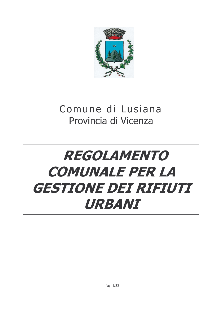

# Comune di Lusiana Provincia di Vicenza

# **REGOLAMENTO COMUNALE PER LA GESTIONE DEI RIFIUTI** URBANI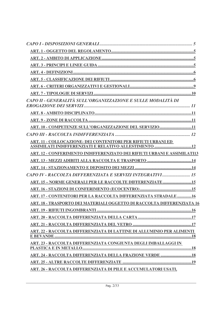| CAPO II - GENERALITÀ SULL'ORGANIZZAZIONE E SULLE MODALITÀ DI             |
|--------------------------------------------------------------------------|
|                                                                          |
|                                                                          |
| ART. 10 - COMPETENZE SULL'ORGANIZZAZIONE DEL SERVIZIO11                  |
|                                                                          |
| ART. 11 - COLLOCAZIONE- DEI CONTENITORI PER RIFIUTI URBANI ED            |
| ART. 12 - CONFERIMENTO INDIFFERENZIATO DEI RIFIUTI URBANI E ASSIMILATI13 |
|                                                                          |
|                                                                          |
| CAPO IV - RACCOLTA DIFFERENZIATA E SERVIZI INTEGRATIVI 15                |
| ART. 15 - NORME GENERALI PER LE RACCOLTE DIFFERENZIATE15                 |
|                                                                          |
| ART. 17 - CONTENITORI PER LA RACCOLTA DIFFERENZIATA STRADALE 16          |
| ART. 18 - TRASPORTO DEI MATERIALI OGGETTO DI RACCOLTA DIFFERENZIATA 16   |
|                                                                          |
|                                                                          |
|                                                                          |
| ART. 22 - RACCOLTA DIFFERENZIATA DI LATTINE DI ALLUMINIO PER ALIMENTI    |
| <b>ART. 23 - RACCOLTA DIFFERENZIATA CONGIUNTA DEGLI IMBALLAGGI IN</b>    |
|                                                                          |
| <b>ART. 24 - RACCOLTA DIFFERENZIATA DELLA FRAZIONE VERDE  18</b>         |
|                                                                          |
| ART. 26 - RACCOLTA DIFFERENZIATA DI PILE E ACCUMULATORI USATI,           |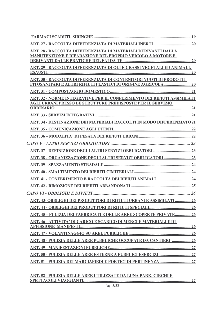| ART. 28 - RACCOLTA DIFFERENZIATA DI MATERIALI DERIVANTI DALLA                 |
|-------------------------------------------------------------------------------|
| MANUTENZIONE E RIPARAZIONE DEL PROPRIO VEICOLO A MOTORE E                     |
| <u>ART. 29 - RACCOLTA DIFFERENZIATA DI OLI E GRASSI VEGETALI ED ANIMALI,</u>  |
|                                                                               |
| ART. 30 - RACCOLTA DIFFERENZIATA DI CONTENITORI VUOTI DI PRODOTTI             |
|                                                                               |
|                                                                               |
| <b>ART. 32 - NORME INTEGRATIVE PER IL CONFERIMENTO DEI RIFIUTI ASSIMILATI</b> |
| <b>AGLI URBANI PRESSO LE STRUTTURE PREDISPOSTE PER IL SERVIZIO</b>            |
|                                                                               |
| ART. 34 - DESTINAZIONE DEI MATERIALI RACCOLTI IN MODO DIFFERENZIATO21         |
|                                                                               |
|                                                                               |
|                                                                               |
|                                                                               |
|                                                                               |
|                                                                               |
|                                                                               |
|                                                                               |
|                                                                               |
|                                                                               |
| ART. 43- OBBLIGHI DEI PRODUTTORI DI RIFIUTI URBANI E ASSIMILATI 26            |
|                                                                               |
| ART. 45 - PULIZIA DEI FABBRICATI E DELLE AREE SCOPERTE PRIVATE26              |
| ART. 46 - ATTIVITA' DI CARICO E SCARICO DI MERCI E MATERIALI E DI             |
|                                                                               |
|                                                                               |
| <b>ART. 48 - PULIZIA DELLE AREE PUBBLICHE OCCUPATE DA CANTIERI 26</b>         |
|                                                                               |
|                                                                               |
|                                                                               |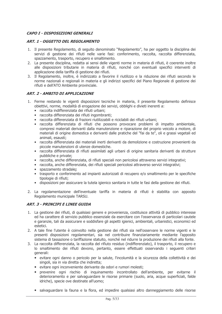# **CAPO I - DISPOSIZIONI GENERALI**

# **ART. 1 - OGGETTO DEL REGOLAMENTO**

- 1. Il presente Regolamento, di seguito denominato "Regolamento", ha per oggetto la disciplina dei servizi di gestione dei rifiuti nelle varie fasi: conferimento, raccolta, raccolta differenziata, spazzamento, trasporto, recupero e smaltimento.
- 2. La presente disciplina, redatta ai sensi delle vigenti norme in materia di rifiuti, è coerente inoltre alle disposizioni tributarie in materia di rifiuti, nonché con eventuali specifici interventi di applicazione della tariffa di gestione dei rifiuti.
- 3. Il Regolamento, inoltre, è indirizzato a favorire il riutilizzo e la riduzione dei rifiuti secondo le norme nazionali e regionali in materia e gli indirizzi specifici del Piano Regionale di gestione dei rifiuti e dell'ATO Ambiente provinciale.

#### **ART. 2 - AMRITO DI APPI ICAZIONE**

- 1. Ferme restando le vigenti disposizioni tecniche in materia, il presente Regolamento definisce obiettivi, norme, modalità di erogazione dei servizi, obblighi e divieti inerenti a:
	- · raccolta indifferenziata dei rifiuti urbani:
	- · raccolta differenziata dei rifiuti ingombranti;
	- · raccolta differenziata di frazioni riutilizzabili e riciclabili dei rifiuti urbani;
	- · raccolta differenziata di rifiuti che possono provocare problemi di impatto ambientale, compresi materiali derivanti dalla manutenzione e riparazione del proprio veicolo a motore, di materiali di origine domestica e derivanti dalle pratiche del "fai da te", oli e grassi vegetali ed animali, esausti:
	- · raccolta differenziata dei materiali inerti derivanti da demolizione e costruzione provenienti da piccole manutenzioni di utenze domestiche.
	- · raccolta differenziata di rifiuti assimilati agli urbani di origine sanitaria derivanti da strutture pubbliche e private;
	- · raccolta, anche differenziata, di rifiuti speciali non pericolosi attraverso servizi integrativi;
	- · raccolta, anche differenziata, dei rifiuti speciali pericolosi attraverso servizi integrativi;
	- · spazzamento stradale:
	- trasporto e conferimento ad impianti autorizzati di recupero e/o smaltimento per le specifiche tipologie di rifiuti;
	- · disposizioni per assicurare la tutela igienico sanitaria in tutte le fasi della gestione dei rifiuti.
- 2. La regolamentazione dell'eventuale tariffa in materia di rifiuti è stabilita con apposito Regolamento municipale TARSU.

# **ART. 3 - PRINCIPI E LINEE GUIDA**

- 1. La gestione dei rifiuti, di qualsiasi genere e provenienza, costituisce attività di pubblico interesse ed ha carattere di servizio pubblico essenziale da esercitare con l'osservanza di particolari cautele e garanzie, tali da assicurare e soddisfare gli aspetti igienici, ambientali, urbanistici, economici ed estetici.
- 2. A tale fine l'utente è coinvolto nella gestione dei rifiuti sia nell'osservare le norme vigenti e le presenti disposizioni regolamentari, sia nel contribuire finanziariamente mediante l'apposito sistema di tassazione o tariffazione statuito, nonché nel ridurre la produzione dei rifiuti alla fonte.
- 3. La raccolta differenziata, la raccolta del rifiuto residuo (indifferenziato), il trasporto, il recupero e lo smaltimento dei rifiuti devono, pertanto, essere effettuati osservando i sequenti criteri qenerali:
	- · evitare ogni danno o pericolo per la salute, l'incolumità e la sicurezza della collettività e dei singoli, sia in via diretta che indiretta;
	- evitare ogni inconveniente derivante da odori e rumori molesti;
	- prevenire ogni rischio di inquinamento incontrollato dell'ambiente, per evitarne il deterioramento e per salvaguardare le risorse primarie (suolo, aria, acque superficiali, falde idriche), specie ove destinate all'uomo;
	- · salvaguardare la fauna e la flora, ed impedire qualsiasi altro danneggiamento delle risorse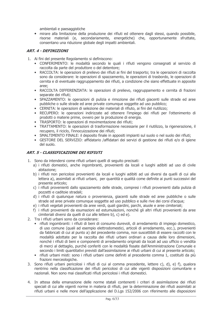ambientali e paesaggistiche

mirare alla limitazione della produzione dei rifiuti ed ottenere dagli stessi, quando possibile, risorse materiali (e, secondariamente, energetiche) che, opportunamente sfruttate, consentano una riduzione globale degli impatti ambientali.

# **ART. 4 - DEFINIZIONI**

- 1. Ai fini del presente Regolamento si definiscono:
	- · CONFERIMENTO: le modalità secondo le quali i rifiuti vengono consegnati al servizio di raccolta da parte del produttore o del detentore;
	- RACCOLTA: le operazioni di prelievo dei rifiuti ai fini del trasporto; tra le operazioni di raccolta sono da considerare: le operazioni di spazzamento, le operazioni di trasbordo, le operazioni di cernita e di eventuale raggruppamento dei rifiuti, a condizione che siano effettuate in apposite aree:
	- RACCOLTA DIFFERENZIATA: le operazioni di prelievo, raggruppamento e cernita di frazioni separate dei rifiuti:
	- $\bullet$ SPAZZAMENTO: le operazioni di pulizia e rimozione dei rifiuti giacenti sulle strade ed aree pubbliche o sulle strade ed aree private comunque soggette ad uso pubblico;
	- CERNITA: le operazioni di selezione dei materiali di rifiuto, ai fini del riutilizzo;
	- · RECUPERO: le operazioni indirizzate ad ottenere l'impiego dei rifiuti per l'ottenimento di prodotti o materie prime, ovvero per la produzione di energia.
	- TRASPORTO: le operazioni di movimentazione dei rifiuti;
	- TRATTAMENTO: le operazioni di trasformazione necessarie per il riutilizzo, la rigenerazione, il recupero, il riciclo, l'innocuizzazione dei rifiuti;
	- SMALTIMENTO FINALE: il deposito finale in appositi impianti sul suolo o nel suolo dei rifiuti;
	- · GESTORE DEL SERVIZIO: affidatario / affidatari dei servizi di gestione dei rifiuti e/o di igiene del suolo.

# **ART. 5 - CLASSIFICAZIONE DEI RIFIUTI**

- 1. Sono da intendersi come rifiuti urbani quelli di seguito precisati:
	- a) i rifiuti domestici, anche ingombranti, provenienti da locali e luoghi adibiti ad uso di civile abitazione:
	- b) i rifiuti non pericolosi provenienti da locali e luoghi adibiti ad usi diversi da quelli di cui alla lettera a), assimilati ai rifiuti urbani, per quantità e qualità come definite ai punti successivi del presente articolo:
	- c) i rifiuti provenienti dallo spazzamento delle strade, compresi i rifiuti provenienti dalla pulizia di pozzetti e caditoie stradali;
	- d) i rifiuti di qualunque natura o provenienza, giacenti sulle strade ed aree pubbliche o sulle strade od aree private comunque soggette ad uso pubblico e sulle rive dei corsi d'acqua:
	- e) i rifiuti vegetali provenienti da aree verdi, quali giardini, parchi, aiuole e aree cimiteriali;
	- f) i rifiuti provenienti da esumazioni ed estumulazioni, nonché gli altri rifiuti provenienti da aree cimiteriali diversi da quelli di cui alle lettere b), c) ed e).
- 2. Tra i rifiuti urbani sono da considerare:
	- · rifiuti ingombranti: i rifiuti di beni di consumo durevoli, di arredamento di impiego domestico, di uso comune (quali ad esempio elettrodomestici, articoli di arredamento, ecc.), provenienti da fabbricati di cui al punto a) del precedente comma, non suscettibili di essere raccolti con le modalità adottate per la raccolta dei rifiuti urbani ordinari a causa delle loro dimensioni, nonché i rifiuti di beni e componenti di arredamento originati da locali ad uso ufficio o vendita di merci al dettaglio, purché conferiti con le modalità fissate dall'Amministrazione Comunale e secondo i limiti quantitativi previsti dall'assimilazione ai rifiuti urbani di cui al presente articolo;
	- · rifiuti urbani misti: sono i rifiuti urbani come definiti al precedente comma 1, costituiti da più frazioni merceologiche.
- 3. Sono rifiuti urbani pericolosi i rifiuti di cui al comma precedente, lettere c), d), e) f), qualora rientrino nella classificazione dei rifiuti pericolosi di cui alle vigenti disposizioni comunitarie e nazionali. Non sono mai classificati rifiuti pericolosi i rifiuti domestici.
- 4. In attesa della emanazione delle norme statali contenenti i criteri di assimilazione dei rifiuti speciali di cui alle vigenti norme in materia di rifiuti, per la determinazione dei rifiuti assimilati ai rifiuti urbani e nelle more dell'applicazione del D.Lqs 152/2006 con riferimento alle disposizioni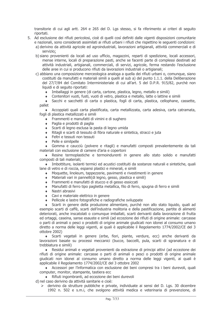transitorie di cui agli artt. 264 e 265 del D. Lgs stesso, si fa riferimento ai criteri di seguito riportati.

- 5. Ad esclusione dei rifiuti pericolosi, cioè di quelli così definiti dalle vigenti disposizioni comunitarie e nazionali, sono considerati assimilati ai rifiuti urbani i rifiuti che rispettino le seguenti condizioni: a) derivino da attività agricole ed agroindustriali, lavorazioni artigianali, attività commerciali e di
	- servizio:
	- b) siano provenienti da locali ad uso ufficio, magazzini, reparti di spedizione, locali accessori, mense interne, locali di preparazione pasti, anche se facenti parte di complessi destinati ad attività industriali, artigianali, commerciali, di servizi, agricole, ferma restando l'esclusione delle aree in cui si producono rifiuti da lavorazioni industriali o artigianali;
	- c) abbiano una composizione merceologica analoga a quella dei rifiuti urbani o, comungue, siano costituiti da manufatti e materiali simili a quelli al sub a) del punto 1.1.1. della Deliberazione del 27/7/84 del Comitato Interministeriale di cui all'art. 5 del D.P.R. 915/82, purchè non liquidi e di seguito riportati:
		- Imballaggi in genere (di carta, cartone, plastica, legno, metallo e simili)
		- Contenitori vuoti, fusti, vuoti di vetro, plastica e metallo, latte o lattine e simili
		- Sacchi e sacchetti di carta o plastica, fogli di carta, plastica, cellophane, cassette, pallet

Accoppiati quali carta plastificata, carta metallizzata, carta adesiva, carta catramata, fogli di plastica metallizzati e simili

- ◆ Frammenti e manufatti di vimini e di sughero
- ◆ Paglia e prodotti di paglia
- ◆ Scarti di legno esclusa la pasta di legno umida
- Ritagli e scarti di tessuto di fibra naturale e sintetica, stracci e juta
- ← Feltri e tessuti non tessuti
- ◆ Pelle e similpelle

• Gomma e caucciù (polvere e ritagli) e manufatti composti prevalentemente da tali materiali con esclusione di camere d'aria e copertoni

• Resine termoplastiche e termoindurenti in genere allo stato solido e manufatti composti di tali materiali;

• Imbottiture, isolanti termici ed acustici costituiti da sostanze naturali e sintetiche, quali lane di vetro e di roccia, espansi plastici e minerali, e simili

- Moquette, linoleum, tappezzerie, pavimenti e rivestimenti in genere
- Materiali vari in pannelli(di legno, gesso, plastica e simili)
- ◆ Frammenti e manufatti di stucco e di gesso essiccati
- ◆ Manufatti di ferro tipo paglietta metallica, filo di ferro, spugna di ferro e simili
- Nastri abrasivi
- Cavi e materiale elettrico in genere  $\blacktriangle$
- Pellicole e lastre fotografiche e radiografiche sviluppate

Scarti in genere della produzione alimentare, purché non allo stato liquido, quali ad esempio scarti di caffè, scarti dell'industria molitoria e della pastificazione, partite di alimenti deteriorati, anche inscatolati o comunque imballati, scarti derivanti dalla lavorazione di frutta ed ortaggi, caseina, sanse esauste e simili (ad eccezione dei rifiuti di origine animale: carcasse o parti di animali o pesci o prodotti di origine animale giudicati non idonei al consumo umano diretto a norma delle leggi vigenti, ai quali è applicabile il Regolamento 1774/2002/CE del 3 ottobre 2002)

Scarti vegetali in genere (erbe, fiori, piante, verdure, ecc) anche derivanti da lavorazioni basate su processi meccanici (bucce, baccelli, pula, scarti di sgranatura e di trebbiatura e simili)

◆ Residui animali e vegetali provenienti da estrazione di principi attivi (ad eccezione dei rifiuti di origine animale: carcasse o parti di animali o pesci o prodotti di origine animale giudicati non idonei al consumo umano diretto a norma delle leggi vigenti, ai quali è applicabile il Regolamento 1774/2002/CE del 3 ottobre 2002

Accessori per l'informatica con esclusione dei beni compresi tra i beni durevoli, quali computer, monitor, stampante, tastiera ecc

◆ Rifiuti ingombranti, ad eccezione dei beni durevoli

d) nel caso derivino da attività sanitarie e cioè:

 $\triangleright$  derivino da strutture pubbliche e private, individuate ai sensi del D. Lqs. 30 dicembre 1992 n. 502 e s.m.i, che svolgono attività medica e veterinaria di prevenzione, di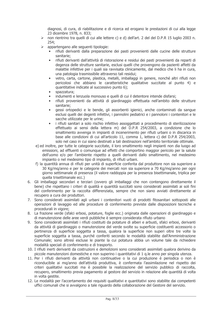diagnosi, di cura, di riabilitazione e di ricerca ed erogano le prestazioni di cui alla legge 23 dicembre 1978, n. 833;

- > non rientrino tra quelli di cui alle lettere c) e d) dell'art. 2 del del D.P.R 15 luglio 2003 n.  $254:$
- $\triangleright$  appartengano alle sequenti tipologie:
	- rifiuti derivanti dalla preparazione dei pasti provenienti dalle cucine delle strutture  $\bullet$ sanitarie:
	- rifiuti derivanti dall'attività di ristorazione e residui dei pasti provenienti da reparti di  $\bullet$ degenza delle strutture sanitarie, esclusi quelli che provengono da pazienti affetti da malattie infettive per i quali sia ravvisata clinicamente, dal medico che li ha in cura, una patologia trasmissibile attraverso tali residui;
	- vetro, carta, cartone, plastica, metalli, imballaggi in genere, nonché altri rifiuti non pericolosi che abbiano le caratteristiche qualitative succitate al punto 4) e quantitative indicate al successivo punto 6):
	- spazzatura;
	- indumenti e lenzuola monouso e quelli di cui il detentore intende disfarsi:
	- rifiuti provenienti da attività di giardinaggio effettuata nell'ambito delle strutture sanitarie:
	- gessi ortopedici e le bende, gli assorbenti igienici, anche contaminati da sangue esclusi quelli dei degenti infettivi, i pannolini pediatrici e i pannoloni i contenitori e le sacche utilizzate per le urine;
	- i rifiuti sanitari a solo rischio infettivo assoggettati a procedimento di sterilizzazione  $\bullet$ effettuato ai sensi della lettera m) del D.P.R 254/2003, a condizione che lo smaltimento avvenga in impianti di incenerimento per rifiuti urbani o in discarica in base alle condizioni di cui all'articolo 11, comma 1, lettera c) del D.P.R 254/2003, solo nel caso in cui siano destinati a tali destinazioni nell'ambito territoriale ottimale.
- e) ed inoltre, per tutte le categorie succitate, il loro smaltimento negli impianti non dia luogo ad emissioni, ad effluenti o comunque ad effetti che comportino maggior pericolo per la salute dell'uomo e/o per l'ambiente rispetto a quelli derivanti dallo smaltimento, nel medesimo impianto o nel medesimo tipo di impianto, di rifiuti urbani.
- f) la quantità annua di rifiuti per unità di superficie conferita dal produttore non sia superiore a 30 Kg/mg/anno e per le categorie dei mercati non sia superiore a 70 Kg/mg/anno per ogni giorno settimanale di presenza (il valore raddoppia per la presenza bisettimanale, triplica per quella trisettimanale ecc.)
- 6. Gli imballaggi secondari e terziari (ovvero gli imballaggi che non contengono direttamente il bene) che rispettano i criteri di qualità e quantità succitati sono considerati assimilati ai soli fini del conferimento per la raccolta differenziata, sempre che non siano avviati direttamente al recupero a cura dei produttori.
- 7. Sono considerati assimilati agli urbani i contenitori vuoti di prodotti fitosanitari sottoposti alle operazioni di lavaggio ed alle procedure di conferimento previste dalle disposizioni tecniche e procedurali in vigore;
- 8. La frazione verde (sfalci erbosi, potature, foglie ecc.) originata dalle operazioni di giardinaggio e di manutenzione delle aree verdi pubbliche è sempre considerata rifiuto urbano
- 9. Sono considerati assimilati i rifiuti costituiti da potature di alberi e arbusti, sfalci erbosi, derivanti da attività di giardinaggio o manutenzione del verde svolte su superficie costituenti accessorio o pertinenza di superficie soggetta a tassa, gualora la superficie non superi oltre tre volte la superficie soggetta a tassa, purché conferiti secondo le modalità stabilite dall'Amministrazione Comunale; sono altresì escluse le piante la cui potatura abbia un volume tale da richiedere modalità speciali di conferimento e di trasporto.
- 10. I rifiuti inerti derivanti da costruzioni e demolizioni sono considerati assimilati qualora derivino da piccole manutenzioni domestiche e non superino i quantitativi di 1 q.le anno per singola utenza.
- 11. Per i rifiuti derivanti da attività non continuative o la cui produzione è periodica o non è riconducibile ai mq/anno dell'attività produttiva, è confermata l'assimilazione nel rispetto dei criteri qualitativi succitati ma è possibile la realizzazione del servizio pubblico di raccolta, recupero, smaltimento previa pagamento al gestore del servizio in relazione alle guantità di volta in volta gestite.
- 12. Le modalità per l'accertamento dei requisiti qualitativi e quantitativi sono stabilite dai competenti uffici comunali che si avvalgono a tale riguardo della collaborazione del Gestore del servizio.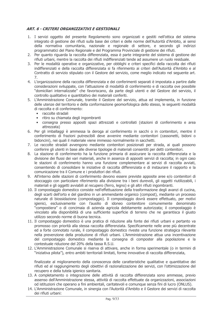# ART. 6 - CRITERI ORGANIZZATIVI E GESTIONALI

- 1. I servizi oggetto del presente Regolamento sono organizzati e gestiti nell'ottica del sistema integrato di gestione dei rifiuti sulla base dei criteri e delle norme dell'Autorità d'Ambito, ai sensi della normativa comunitaria, nazionale e regionale di settore, e secondo gli indirizzi programmatici del Piano Regionale e del Programma Provinciale di gestione dei rifiuti.
- 2. Per quanto riguarda la raccolta differenziata, essa è parte integrante del sistema di gestione dei rifiuti urbani, mentre la raccolta dei rifiuti indifferenziati tende ad assumere un ruolo residuale.
- 3. Per le modalità operative e organizzative, per obblighi e criteri specifici della raccolta dei rifiuti indifferenziati e della raccolta differenziata si fa riferimento ai criteri dell'Autorità d'Ambito e al Contratto di servizio stipulato con il Gestore del servizio, come meglio indicato nel seguente art.  $7.$
- 4. L'organizzazione della raccolta differenziata e dei conferimenti separati è impostata a partire dalle considerazioni sviluppate, con l'attuazione di modalità di conferimento e di raccolta ove possibile "domiciliari internalizzate" che favoriscano, da parte degli utenti e del Gestore del servizio, il controllo qualitativo e quantitativo dei materiali conferiti.
- 5. L'Amministrazione Comunale, tramite il Gestore del servizio, attua ed implementa, in funzione delle utenze del territorio e della conformazione geomorfologica dello stesso, le sequenti modalità di raccolta e di conferimento:
	- · raccolte stradali
	- · ritiro su chiamata degli ingombranti
	- · consegna presso appositi spazi attrezzati e controllati (stazioni di conferimento e area attrezzata)
- 6. Per gli imballaggi è ammessa la deroga al conferimento in sacchi o in contenitori, mentre il conferimento di frazioni putrescibili deve avvenire mediante contenitori (cassonetti, bidoni o bidoncini), nei quali il materiale viene immesso normalmente in sacchetti.
- 7. Le raccolte stradali avvengono mediante contenitori posizionati per strada, ai quali possono conferire gli utenti in base alle diverse tipologie di materiali consentiti per detti contenitori.
- 8. La stazione di conferimento ha la funzione primaria di assicurare la raccolta differenziata e la divisione dei flussi dei vari materiali, anche in assenza di appositi servizi di raccolta; in ogni caso le stazioni di conferimento hanno una funzione complementare ai servizi di raccolta avviati, consentendo di consolidare le iniziative di raccolta differenziata e di instaurare il rapporto e la comunicazione tra il Comune e i produttori dei rifiuti.
- 9. All'interno delle stazioni di conferimento devono essere previste apposite aree e/o contenitori di stoccaggio con particolare riferimento alla divisione tra i beni durevoli, gli oggetti riutilizzabili, i materiali e gli oggetti avviabili al recupero (ferro, legno) e gli altri rifiuti ingombranti.
- 10. Il compostaggio domestico consiste nell'effettuazione della trasformazione degli avanzi di cucina, degli scarti dell'orto e del giardino in un ammendante organico (compost), mediante un processo naturale di biossidazione (compostaggio). Il compostaggio dovrà essere effettuato, per motivi igienici, esclusivamente con l'ausilio di idoneo contenitore comunemente denominato "compostiera" o di concimaia di azienda agricola debitamente autorizzata; il compostaggio è vincolato alla disponibilità di una sufficiente superficie di terreno che ne garantisca il giusto utilizzo secondo norme di buona tecnica.
- 11. Il compostaggio domestico è una pratica di riduzione alla fonte dei rifiuti urbani e pertanto va promosso con priorità alla stessa raccolta differenziata. Specificamente nelle aree più decentrate ed a forte connotato rurale, il compostaggio domestico riveste una funzione strategica rilevante nella prevenzione della produzione di rifiuti urbani. L'Amministrazione attua una incentivazione del compostaggio domestico mediante la consegna di composter alla popolazione e la contestuale riduzione del 20% della tassa R.S.U.
- 12. L'Amministrazione Comunale si riserva di attivare, anche in forma sperimentale (o in termini di "iniziativa pilota"), entro ambiti territoriali limitati, forme innovative di raccolta differenziata,

finalizzate al miglioramento della conoscenza delle caratteristiche qualitative e quantitative dei rifiuti ed al raggiungimento degli obiettivi dì razionalizzazione dei servizi, con l'ottimizzazione del recupero e della tutela igienico sanitaria.

- 13. A completamento o integrazione delle attività di raccolta differenziata sono ammesse, previo assenso dell'Amministrazione stessa, attività di raccolta effettuate da organizzazioni, associazioni od istituzioni che operano a fini ambientali, caritatevoli e comunque senza fini di lucro (ONLUS).
- 14. L'Amministrazione Comunale, in sinergia con l'Autorità d'Ambito e il Gestore dei servizi di raccolta dei rifiuti urbani: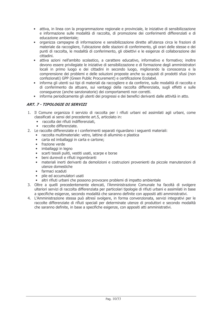- · attiva, in linea con la programmazione regionale e provinciale, le iniziative di sensibilizzazione e informazione sulle modalità di raccolta, di promozione dei conferimenti differenziati e di educazione ambientale:
- organizza campagne di informazione e sensibilizzazione dirette all'utenza circa le frazioni di  $\bullet$ materiale da raccogliere, l'ubicazione delle stazioni di conferimento, gli orari delle stesse e dei punti di raccolta, le modalità di conferimento, gli obiettivi e le esigenze di collaborazione dei cittadini.
- · attiva azioni nell'ambito scolastico, a carattere educativo, informativo e formativo; inoltre devono essere privilegiate le iniziative di sensibilizzazione e di formazione degli amministratori locali in primo luogo e dei cittadini in secondo luogo, migliorando la conoscenza e la comprensione dei problemi e delle soluzioni proposte anche su acquisti di prodotti sfusi (non confezionati) GPP (Green Public Procurement) e certificazione Ecolabel.
- informa gli utenti sui tipi di materiali da raccogliere e da conferire, sulle modalità di raccolta e di conferimento da attuare, sui vantaggi della raccolta differenziata, sugli effetti e sulle conseguenze (anche sanzionatorie) dei comportamenti non corretti.
- informa periodicamente gli utenti dei progressi e dei benefici derivanti dalle attività in atto.

# ART. 7 - TIPOLOGIE DI SERVIZI

- 1. Il Comune organizza il servizio di raccolta per i rifiuti urbani ed assimilati agli urbani, come classificati ai sensi del precedente art.5, articolato in:
	- · raccolta dei rifiuti indifferenziati,
	- raccolte differenziate.
- 2. Le raccolte differenziate e i conferimenti separati riguardano i seguenti materiali:
	- raccolta multimateriale: vetro, lattine di alluminio e plastica
		- carta ed imballaggi in carta e cartone;
		- frazione verde
		- · imballaggi in legno
		- $\bullet$ scarti tessili puliti, vestiti usati, scarpe e borse
		- · beni durevoli e rifiuti ingombranti
		- materiali inerti derivanti da demolizioni e costruzioni provenienti da piccole manutenzioni di utenze domestiche
		- · farmaci scaduti
		- pile ed accumulatori usati
		- altri rifiuti urbani che possono provocare problemi di impatto ambientale
- 3. Oltre a quelli precedentemente elencati, l'Amministrazione Comunale ha facoltà di svolgere ulteriori servizi di raccolta differenziata per particolari tipologie di rifiuti urbani e assimilati in base a specifiche esigenze, secondo modalità che saranno definite con appositi atti amministrativi.
- 4. L'Amministrazione stessa può altresì svolgere, in forma convenzionata, servizi integrativi per le raccolte differenziate di rifiuti speciali per determinate utenze di produttori e secondo modalità che saranno definite, in base a specifiche esigenze, con appositi atti amministrativi.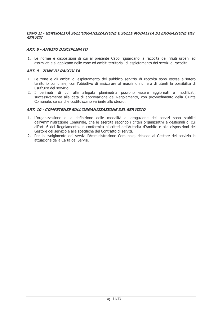# CAPO II - GENERALITÀ SULL'ORGANIZZAZIONE E SULLE MODALITÀ DI EROGAZIONE DEI **SERVIZI**

# **ART. 8 - AMBITO DISCIPLINATO**

1. Le norme e disposizioni di cui al presente Capo riguardano la raccolta dei rifiuti urbani ed assimilati e si applicano nelle zone ed ambiti territoriali di espletamento dei servizi di raccolta.

#### **ART. 9 - ZONE DI RACCOLTA**

- 1. Le zone e gli ambiti di espletamento del pubblico servizio di raccolta sono estese all'intero territorio comunale, con l'obiettivo di assicurare al massimo numero di utenti la possibilità di usufruire del servizio.
- 2. I perimetri di cui alla allegata planimetria possono essere aggiornati e modificati, successivamente alla data di approvazione del Regolamento, con provvedimento della Giunta Comunale, senza che costituiscano variante allo stesso.

#### ART. 10 - COMPETENZE SULL'ORGANIZZAZIONE DEL SERVIZIO

- 1. L'organizzazione e la definizione delle modalità di erogazione dei servizi sono stabiliti dall'Amministrazione Comunale, che le esercita secondo i criteri organizzativi e gestionali di cui all'art. 6 del Regolamento, in conformità ai criteri dell'Autorità d'Ambito e alle disposizioni del Gestore del servizio e alle specifiche del Contratto di servizi.
- 2. Per lo svolgimento dei servizi l'Amministrazione Comunale, richiede al Gestore del servizio la attuazione della Carta dei Servizi.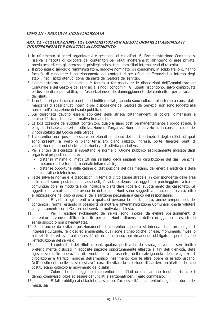# CAPO III - RACCOLTA INDIFFERENZIATA

#### ART. 11 - COLLOCAZIONE- DEI CONTENITORI PER RIFIUTI URBANI ED ASSIMILATI **INDIFFERENZIATI E RELATIVO ALLESTIMENTO**

- 1. In riferimento ai criteri organizzativi e gestionali di cui all'art. 6, l'Amministrazione Comunale si riserva la facoltà di collocare dei contenitori per rifiuti indifferenziati all'interno di aree private, previa accordi con gli interessati, privilegiando sistemi domiciliari internalizzati di raccolta.
- 2. Il proprietario singolo o l'amministratore, laddove nominato, o i condomini, in solido fra loro, hanno facoltà, di consentire il posizionamento dei contenitori per rifiuti indifferenziati all'interno degli stabili, negli spazi ritenuti idonei da parte del Gestore del servizio.
- 3. L'amministratore del condominio è tenuto a far osservare le disposizioni dell'Amministrazione Comunale e del Gestore del servizio ai singoli condomini. Gli utenti rispondono, salvo comprovata esclusione di responsabilità, dell'asportazione o del danneggiamento dei contenitori per la raccolta dei rifiuti.
- 4. I contenitori per la raccolta dei rifiuti indifferenziati, quando sono collocati all'esterno a causa dalla mancanza di spazi privati interni o per disposizione del Gestore del Servizio, non sono soggetti alle norme sull'occupazione del suolo pubblico.
- 5. Sui cassonetti devono essere applicate delle strisce catarifrangenti di colore, dimensioni e luminosità richieste dalla normativa in materia.
- 6. La localizzazione dei suddetti contenitori, qualora siano posti permanentemente a bordo strada, è esequita in base a criteri di ottimizzazione dell'organizzazione del servizio ed in considerazione dei vincoli stabiliti dal Codice della Strada.
- 7. I contenitori non possono essere posizionati a ridosso dei muri perimetrali degli edifici sui quali sono presenti, a livello di piano terra e/o piano rialzato, ingressi, porte, finestre, punti di ventilazione e balconi di civili abitazioni e/o di attività produttive.
- 8. Per i criteri di sicurezza si rispettano le norme di Ordine pubblico esplicitamente indicate dagli organismi preposti ed inoltre:
	- · distanza minima di metri 10 dai serbatoi degli impianti di distribuzione del gas, benzina, metano o altre fonti di materiale infiammabile;
	- distanze opportune dalle cabine di distribuzione del gas metano, dell'energia elettrica e delle  $\bullet$ centraline telefoniche.
- 9. Fatte salve le norme e le disposizioni in tema di circolazione stradale, in corrispondenza delle aree sulle quali sono posizionati i cassonetti, è vietato depositare oggetti o parcheggiare veicoli o comunque porsi in modo tale da intralciare o ritardare l'opera di syuotamento dei cassonetti. Gli oggetti o i veicoli che si trovano in dette condizioni sono soggetti a rimozione forzata, oltre all'applicazione nel caso di specie, della sanzione pecuniaria a carico del responsabile.
- $10<sup>1</sup>$ E' vietato agli utenti o a gualsiasi persona lo spostamento, anche temporaneo, dei contenitori, ferma restando la possibilità di inoltrare all'Amministrazione Comunale, che la valuterà congiuntamente con il Gestore del servizio, motivata richiesta.
- Per il regolare svolgimento dei servizi sono, inoltre, da evitare posizionamenti di 11. contenitori in zone di difficile transito per condizioni e dimensioni della carreggiata (ad es. strade senza sbocco o non pavimentate).
- 12. Sono anche da evitare posizionamenti di contenitori qualora si intenda rispettare luoghi di interesse culturale, religioso ed ambientale, quali zone archeologiche, chiese, monumenti, musei o palazzi storici ed eventuali necessità di arredo urbano, pur rimanendo obbligatoria per tali zone l'effettuazione del servizio.
- 13. I contenitori dei rifiuti urbani, qualora posti a bordo strada, devono essere inoltre preferibilmente dislocati in apposite piazzole opportunamente allestite ai fini dell'igienicità, della agevolezza delle operazioni di svuotamento e asporto, della salvaguardia delle esigenze di circolazione e traffico, nonché dell'armonico inserimento con le altre opere di arredo urbano. Nell'allestimento delle piazzole si avrà cura di evitare la creazione di barriere architettoniche che costituiscano ostacolo al movimento dei disabili.
- Coloro che danneggiano i contenitori dei rifiuti urbani saranno tenuti a risarcire il 14. danno commesso, oltre ad essere denunciati e sanzionati per il reato commesso.
- E' fatto obbligo ai cittadini di assicurare l'accessibilità ai contenitori degli operatori e dei  $15.$ mezzi, sia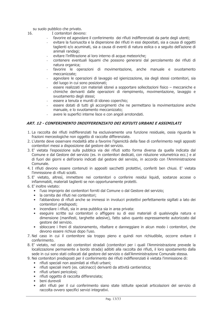su suolo pubblico che privato.

16.

I contenitori devono:

- favorire ed agevolare il conferimento dei rifiuti indifferenziati da parte degli utenti;
- evitare la fuoriuscita e la dispersione dei rifiuti in essi depositati, sia a causa di oggetti taglienti e/o acuminati, sia a causa di eventi di natura eolica o a seguito dell'azione di animali randagi:
- evitare l'infiltrazione al loro interno di acque meteoriche;
- contenere eventuali liquami che possono generarsi dal percolamento dei rifiuti di natura organica:
- favorire le operazioni di movimentazione, anche manuale e svuotamento meccanizzate;
- agevolare le operazioni di lavaggio ed igienizzazione, sia degli stessi contenitori, sia del luogo in cui sono posizionati;
- essere realizzati con materiali idonei a sopportare sollecitazioni fisico meccaniche e chimiche derivanti dalle operazioni di riempimento, movimentazione, lavaggio e svuotamento degli stessi;
- essere a tenuta e muniti di idoneo coperchio:
- essere dotati di tutti gli accorgimenti che ne permettano la movimentazione anche manuale, e lo svuotamento meccanizzato:
- avere le superfici interne lisce e con angoli arrotondati.

# ART. 12 - CONFERIMENTO INDIFFERENZIATO DEI RIFIUTI URBANI E ASSIMILATI

- 1. La raccolta dei rifiuti indifferenziati ha esclusivamente una funzione residuale, ossia riguarda le frazioni merceologiche non oggetto di raccolte differenziate.
- 2. L'utente deve osservare modalità atte a favorire l'igienicità della fase di conferimento negli appositi contenitori messi a disposizione dal gestore del servizio.
- 3. E' vietata l'esposizione sulla pubblica via dei rifiuti sotto forma diversa da quella indicata dal Comune e dal Gestore del servizio (es. in contenitori dedicati, con riduzione volumetrica ecc.) e al di fuori dei giorni e dell'orario indicati dal gestore del servizio, in accordo con l'Amministrazione Comunale.
- 4. I rifiuti devono essere contenuti in appositi sacchetti protettivi, conferiti ben chiusi. E' vietata l'immissione di rifiuti sciolti.
- 5. E' vietato, altresì, immettere nei contenitori o conferire residui liquidi, sostanze accese o infiammabili, materiali taglienti se non opportunamente protetti.
- 6. E' inoltre vietato:
	- · l'uso improprio dei contenitori forniti dal Comune o dal Gestore del servizio;
	- · la cernita dei rifiuti nei contenitori;
	- · l'abbandono di rifiuti anche se immessi in involucri protettivi perfettamente sigillati a lato dei contenitori predisposti:
	- · incendiare i rifiuti, sia in area pubblica sia in area privata:
	- · esequire scritte sui contenitori o affiggere su di essi materiali di qualsivoglia natura e dimensione (manifesti, targhette adesive), fatto salvo quanto espressamente autorizzato dal gestore del servizio.
	- $\bullet$ sbloccare i freni di stazionamento, ribaltare e danneggiare in alcun modo i contenitori, che devono essere richiusi dopo l'uso.
- 7. Nel caso in cui il contenitore sia troppo pieno e quindi non richiudibile, occorre evitare il conferimento.
- 8. E' vietato, nel caso dei contenitori stradali (contenitori per i quali l'Amministrazione prevede la localizzazione permanente a bordo strada) adibiti alla raccolta dei rifiuti, il loro spostamento dalla sede in cui sono stati collocati dal gestore del servizio o dall'Amministrazione Comunale stessa.
- 9. Nei contenitori predisposti per il conferimento dei rifiuti indifferenziati è vietata l'immissione di:
	- · rifiuti speciali non assimilati ai rifiuti urbani;
	- · rifiuti speciali inerti (es. calcinacci) derivanti da attività cantieristica;
	- · rifiuti urbani pericolosi;
	- · rifiuti oggetto di raccolta differenziata:
	- beni durevoli
	- · altri rifiuti per il cui conferimento siano state istituite speciali articolazioni del servizio di raccolta ovvero specifici servizi integrativi.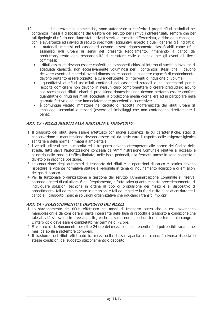- $10<sub>1</sub>$ Le utenze non domestiche, sono autorizzate a conferire i propri rifiuti assimilati nei contenitori messi a disposizione dal Gestore del servizio per i rifiuti indifferenziati, sempre che per tali tipologie di rifiuto non siano stati attivati servizi di raccolta differenziata, a ritiro od a consegna, con le avvertenze ed i divieti di seguito specificati (aggiuntivi rispetto a quelli generali già indicati):
	- · i materiali immessi nei cassonetti devono essere rigorosamente classificabili come rifiuti assimilati agli urbani ai sensi del presente Regolamento, rimanendo a carico del produttore/utente ogni responsabilità di carattere civile e penale per gli eventuali illeciti commessi;
	- · i rifiuti assimilati devono essere conferiti nei cassonetti chiusi all'interno di sacchi o involucri di adeguata capacità, non eccessivamente voluminosi per i contenitori stessi che li devono ricevere; eventuali materiali aventi dimensioni eccedenti le suddette capacità di contenimento, devono pertanto essere oggetto, a cura dell'utente, di interventi di riduzione di volume;
	- i quantitativi di rifiuti assimilati conferibili nei cassonetti stradali o nei contenitori per la raccolta domiciliare non devono in nessun caso compromettere o creare pregiudizio alcuno alla raccolta dei rifiuti urbani di produzione domestica; non devono pertanto essere conferiti quantitativi di rifiuti assimilati eccedenti la produzione media giornaliera ed in particolare nelle giornate festive e ad esse immediatamente precedenti e successive;
	- è comunque vietato immettere nel circuito di raccolta indifferenziata dei rifiuti urbani gli imballaggi secondari e terziari (ovvero gli imballaggi che non contengono direttamente il bene).

# ART. 13 - MEZZI ADIBITI ALLA RACCOLTA E TRASPORTO

- 1. Il trasporto dei rifiuti deve essere effettuato con idonei automezzi le cui caratteristiche, stato di conservazione e manutenzione devono essere tali da assicurare il rispetto delle esigenze igienico sanitarie e delle norme in materia ambientale.
- 2. I veicoli utilizzati per la raccolta ed il trasporto devono ottemperare alle norme del Codice della strada, fatta salva l'autorizzazione concessa dall'Amministrazione Comunale relativa all'accesso e all'orario nelle zone a traffico limitato, nelle isole pedonali, alla fermata anche in zona soggetta a divieto o in seconda posizione.
- 3. La conduzione degli automezzi di trasporto dei rifiuti e le operazioni di carico e scarico devono rispettare la vigente normativa statale e regionale in tema di inquinamento acustico e di emissioni dei gas di scarico.
- 4. Per la funzionale organizzazione e gestione del servizio l'Amministrazione Comunale si riserva, secondo i criteri di cui all'art. 6 del Regolamento, e fatto salvo quanto esposto precedentemente, di individuare soluzioni tecniche in ordine al tipo di propulsione dei mezzi e al dispositivo di abbattimento, tali da minimizzare le emissioni e tali da impedire la fuoriuscita di colaticci durante il carico e il trasporto, nonché soluzioni organizzative che riducano i transiti impropri.

# ART. 14 - STAZIONAMENTO E DEPOSITO DEI MEZZI

- 1. Lo stazionamento dei rifiuti effettuato nei mezzi di trasporto senza che in essi avvengano manipolazioni è da considerarsi parte integrante della fase di raccolta e trasporto a condizione che tale attività sia svolta in aree apposite, e che la sosta non superi un termine temporale congruo. L'intero ciclo deve essere completato nel termine di 72 ore.
- 2. E' vietato lo stazionamento per oltre 24 ore dei mezzi pieni contenenti rifiuti putrescibili raccolti nei mesi da aprile a settembre compresi.
- 3. Il trasbordo dei rifiuti effettuato tra mezzi della stessa capacità o di capacità diversa rispetta le stesse condizioni del suddetto stazionamento o deposito.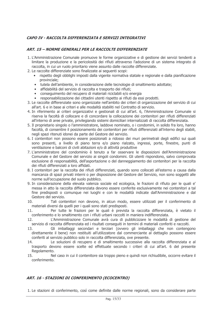# CAPO IV - RACCOLTA DIFFERENZIATA E SERVIZI INTEGRATIVI

#### **ART. 15 - NORME GENERALI PER LE RACCOLTE DIFFERENZIATE**

- 1. L'Amministrazione Comunale promuove le forme organizzative e di gestione dei servizi tendenti a limitare la produzione e la pericolosità dei rifiuti attraverso l'adozione di un sistema integrato di raccolta, in cui un ruolo prioritario viene assunto dalle raccolte differenziate.
- 2. Le raccolte differenziate sono finalizzate ai sequenti scopi:
	- · rispetto degli obblighi imposti dalla vigente normativa statale e regionale e dalla pianificazione provinciale:
	- tutela dell'ambiente, in considerazione delle tecnologie di smaltimento adottate:
	- · affidabilità del servizio di raccolta e trasporto dei rifiuti:
	- conseguimento del recupero di materiali riciclabili e/o energia
	- responsabilizzazione dei cittadini utenti rispetto ai rifiuti da essi prodotti.
- 3. Le raccolte differenziate sono organizzate nell'ambito dei criteri di organizzazione del servizio di cui all'art. 6 e in base ai criteri e alle modalità stabiliti nel Contratto di servizio.
- 4. In riferimento ai criteri organizzativi e gestionali di cui all'art. 6, l'Amministrazione Comunale si riserva la facoltà di collocare e di concordare la collocazione dei contenitori per rifiuti differenziati all'interno di aree private, privilegiando sistemi domiciliari internalizzati di raccolta differenziata.
- 5. Il proprietario singolo o l'amministratore, laddove nominato, o i condomini, in solido fra loro, hanno facoltà, di consentire il posizionamento dei contenitori per rifiuti differenziati all'interno degli stabili, negli spazi ritenuti idonei da parte del Gestore del servizio.
- 6. I contenitori non possono essere posizionati a ridosso dei muri perimetrali degli edifici sui quali sono presenti, a livello di piano terra e/o piano rialzato, ingressi, porte, finestre, punti di ventilazione e balconi di civili abitazioni e/o di attività produttive
- 7. L'amministratore del condominio è tenuto a far osservare le disposizioni dell'Amministrazione Comunale e del Gestore del servizio ai singoli condomini. Gli utenti rispondono, salvo comprovata esclusione di responsabilità, dell'asportazione o del danneggiamento dei contenitori per la raccolta dei rifiuti differenziati a loro affidati.
- 8. I contenitori per la raccolta dei rifiuti differenziati, quando sono collocati all'esterno a causa dalla mancanza di spazi privati interni o per disposizione del Gestore del Servizio, non sono soggetti alle norme sull'occupazione del suolo pubblico.
- 9. In considerazione della elevata valenza sociale ed ecologica, le frazioni di rifiuto per le quali e' messa in atto la raccolta differenziata devono essere conferite esclusivamente nei contenitori a tal fine predisposti o comunque nei luoghi e con le modalità indicate dall'Amministrazione e dal Gestore del servizio.
- Tali contenitori non devono, in alcun modo, essere utilizzati per il conferimento di  $10<sup>1</sup>$ materiali diversi da quelli per i quali sono stati predisposti.
- Per tutte le frazioni per le quali è prevista la raccolta differenziata, è vietato il  $11.$ conferimento e lo smaltimento con i rifiuti urbani raccolti in maniera indifferenziata.
- $12<sub>1</sub>$ L'Amministrazione Comunale avrà cura di pubblicizzare le modalità di gestione del servizio di raccolta differenziata ed i risultati conseguiti in termini di materiali conferiti e raccolti.
- $13$ Gli imballaggi secondari e terziari (ovvero gli imballaggi che non contengono direttamente il bene) non restituiti all'utilizzatore dal commerciante al dettaglio possono essere conferiti al servizio pubblico solo in raccolta differenziata, ove presente.
- 14. Le soluzioni di recupero e di smaltimento successive alla raccolta differenziata e al trasporto devono essere scelte ed effettuate secondo i criteri di cui all'art. 6 del presente Regolamento.
- Nel caso in cui il contenitore sia troppo pieno e quindi non richiudibile, occorre evitare il  $15.$ conferimento.

# ART. 16 - STAZIONI DI CONFERIMENTO (ECOCENTRO)

1. Le stazioni di conferimento, così come definite dalle norme regionali, sono da considerare parte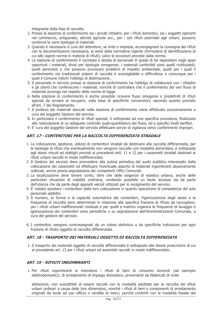integrante della fase di raccolta.

- 2. Presso la stazione di conferimento sia i privati cittadini, per i rifiuti domestici, sia i soggetti operanti nel commercio, artigianato, attività agricole ecc., per i soli rifiuti assimilati agli urbani, possono conferire le varie tipologie di materiali.
- 3. Quando è necessario è cura del detentore, se ente o impresa, accompagnare la consegna dei rifiuti con la documentazione necessaria, ai sensi della normativa vigente (formulario di identificazione di cui alle vigenti norme in materia di rifiuti), salvo le eccezioni previste dalla norma.
- 4. La stazione di conferimento è recintata e dotata di personale in grado di far depositare negli spazi opportuni i materiali, divisi per tipologie omogenee; i materiali conferibili sono quelli riutilizzabili, quelli pericolosi o che possono provocare problemi di impatto ambientale, quelli per i quali il conferimento nei tradizionali sistemi di raccolta è sconsigliabile o difficoltoso e comunque per i quali il Comune indichi l'obbligo di destinazione...
- 5. Il personale in servizio presso la stazione di conferimento ha l'obbligo di collaborare con i cittadini e gli utenti che conferiscono i materiali, nonché di controllare che il conferimento dei vari flussi di materiali avvenga nel rispetto delle norme di legge.
- 6. Nella stazione di conferimento è anche possibile ricevere flussi omogenei e predefiniti di rifiuti speciali da avviare al recupero, sulla base di specifiche convenzioni, secondo quanto previsto all'art. 7 del Regolamento.
- 7. Il prelievo dei materiali stoccati nella stazione di conferimento viene effettuato esclusivamente a cura del soggetto Gestore del servizio.
- 8. In particolare il conferimento di rifiuti speciali, è sottoposto ad una specifica procedura, finalizzata alla realizzazione di un adequato controllo quali-quantitativo dei flussi, ed a specifici livelli tariffari.
- 9. E' cura del soggetto Gestore del servizio effettuare servizi di vigilanza verso conferimenti impropri.

# ART. 17 - CONTENITORI PER LA RACCOLTA DIFFERENZIATA STRADALE

- 1. La collocazione, gestione, utilizzo di contenitori stradali da destinarsi alla raccolta differenziata, per le tipologie di rifiuti che eventualmente non vengono raccolte con modalità domiciliare, è sottoposta agli stessi vincoli ed obblighi previsti ai precedenti artt. 11 e 12 per i cassonetti stradali destinati ai rifiuti urbani raccolti in modo indifferenziato.
- 2. Il Gestore del servizio deve provvedere alla pulizia periodica del suolo pubblico interessato dalla collocazione dei cassonetti ed effettuare l'eventuale asporto di materiali ingombranti abusivamente collocati, anche previa segnalazione dei competenti Uffici Comunali.
- 3. La localizzazione deve tenere conto, oltre che delle esigenze di estetica urbana, anche delle particolari situazioni di viabilità ordinaria, rendendo possibile un facile accesso sia da parte dell'utenza che da parte degli appositi veicoli utilizzati per lo svolgimento del servizio.
- 4. E' vietato spostare i contenitori dalla loro collocazione in quanto operazione di competenza del solo personale addetto.
- 5. Il numero, la forma e la capacità volumetrica dei contenitori, l'igienizzazione degli stessi e la frequenza di raccolta sono determinati in relazione alla specifica frazione di rifiuto da raccogliere; per i rifiuti urbani indifferenziati residuali e per quelli a matrice organica le frequenze di lavaggio e igienizzazione dei contenitori sono periodiche o su segnalazione dell'Amministrazione Comunale, a cura del gestore del servizio.
- 6. I contenitori vengono contrassegnati da un colore distintivo o da specifiche indicazioni per ogni frazione di rifiuto oggetto di raccolta differenziata.

# ART. 18 - TRASPORTO DEI MATERIALI OGGETTO DI RACCOLTA DIFFERENZIATA

1. Il trasporto dei materiali oggetto di raccolta differenziata è sottoposto alle stesse prescrizioni di cui al precedente art. 13 per i rifiuti urbani ed assimilati raccolti in modo indifferenziato.

# **ART. 19 - RIFIUTI INGOMBRANTI**

1. Per rifiuti ingombranti si intendono i rifiuti di beni di consumo durevoli (ad esempio elettrodomestici), di arredamento di impiego domestico, provenienti da fabbricati di civile

abitazione, non suscettibili di essere raccolti con le modalità adottate per la raccolta dei rifiuti urbani ordinari a causa delle loro dimensioni, nonché i rifiuti di beni e componenti di arredamento originati da locali ad uso ufficio o vendita di merci, purché conferiti con le modalità fissate dal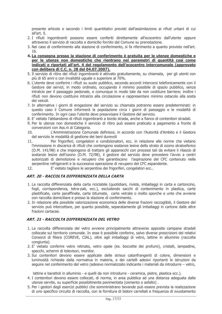presente articolo e secondo i limiti quantitativi previsti dall'assimilazione ai rifiuti urbani di cui all'art. 5.

- 2. I rifiuti ingombranti possono essere conferiti direttamente all'ecocentro dall'utente oppure attraverso il servizio di raccolta a domicilio fornito dal Comune su prenotazione.
- 3. Nel caso di conferimento alla stazione di conferimento, si fa riferimento a quanto previsto nell'art.  $16<sup>1</sup>$
- 4. La consegna presso la stazione di conferimento è gratuita per le utenze domestiche e per le utenze non domestiche che rientrano nei parametri di quantità così come indicati e riportati all'art. 4 del regolamento dell'ecocentro intercomunale (approvato con delibera di C.C. n. 28 del 04.07.2007).
- 5. Il servizio di ritiro dei rifiuti ingombranti è attivato gratuitamente, su chiamata, per gli utenti con più di 65 anni o con invalidità uguale o superiore al 70%.
- 6. L'utente deve conferire i rifiuti su suolo pubblico, secondo accordi intercorsi telefonicamente con il Gestore dei servizi, in modo ordinato, occupando il minimo possibile di spazio pubblico, senza intralcio per il passaggio pedonale, e comunque in modo tale da non costituire barriere; inoltre i rifiuti non devono costituire intralcio alla circolazione e rappresentare minimo ostacolo alla sosta iloniev ieh
- 7. In alternativa i giorni di erogazione del servizio su chiamata potranno essere predeterminati: in questo caso il Comune informerà la popolazione circa i giorni di passaggio e le modalità di conferimento. In ogni caso l'utente deve preavvisare il Gestore del servizio.
- 8. E' vietato l'abbandono di rifiuti ingombranti a bordo strada, anche a fianco di contenitori stradali.
- 9. Per le utenze non domestiche il servizio di ritiro può essere praticato a pagamento a fronte di convenzioni con Ass.ni di Categoria.
- L'Amministrazione Comunale definisce, in accordo con l'Autorità d'Ambito e il Gestore  $10<sup>1</sup>$ del servizio le modalità di gestione dei beni durevoli
- $11.$ Per frigoriferi, congelatori e condizionatori, ecc. in relazione alle norme che vietano l'immissione in discarica di rifiuti che contengono sostanze lesive dello strato di ozono stratosferico (D.M. 141/98) e che impongono di trattare gli apparecchi con processi tali da evitare il rilascio di sostanze lesive dell'ozono (D.M. 72/98), il gestore del servizio deve prevedere l'avvio a centri autorizzati di demolizione è recupero che garantiscano l'aspirazione del CFC contenuto nelle serpentine refrigeranti e la successiva operazione di recupero del CFC espandente.
- E' vietato tagliare le serpentine dei frigoriferi, congelatori ecc..  $12.$

# ART. 20 - RACCOI TA DIFFFRENZIATA DEI LA CARTA

- 1. La raccolta differenziata della carta riciclabile (quotidiani, riviste, imballaggi in carta e cartoncino, fogli, corrispondenza, tetra-pak, ecc.), escludendo sacchi di contenimento in plastica, carte plastificate, carte paraffinate, carte bitumate, carte vetrate o molto sporche e unte che avviene con raccolta domiciliare e presso la stazione di conferimento.
- 2. In relazione alla possibile valorizzazione economica delle diverse frazioni raccoglibili, il Gestore del servizio può intercettare, per quanto possibile, separatamente gli imballaggi in cartone dalle altre frazioni cartacee.

# ART. 21 - RACCOLTA DIFFERENZIATA DEL VETRO

- 1. La raccolta differenziata del vetro avviene principalmente attraverso apposite campane stradali collocate sul territorio comunale. In esse è possibile conferire, salvo diverse prescrizioni dei relativi Consorzi di filiera (COREVE, CIAL), oltre agli imballaggi di vetro, lattine in alluminio (raccolta congiunta).
- 2. E' vietato conferire vetro retinato, vetro opale (es. boccette dei profumi), cristalli, lampadine, specchi, schermi di televisori, monitor.
- 3. Sui contenitori devono essere applicate delle strisce catarifrangenti di colore, dimensioni e luminosità richieste dalla normativa in materia, e dei cartelli adesivi riportanti le istruzioni da sequire nel conferimento del vetro (adesivo normalizzato indicante i materiali da introdurre – vetro,

lattine e barattoli in alluminio - e quelli da non introdurre - ceramica, pietre, plastica ecc.).

- 4. I contenitori devono essere collocati, di norma, in area pubblica ad una distanza adeguata dalle utenze servite, su superficie possibilmente pavimentata (cemento o asfalto).
- 5. Per i gestori degli esercizi pubblici che somministrano bevande può essere prevista la realizzazione di uno specifico circuito di raccolta, con la fornitura di bidoni carrellati e frequenza di svuotamento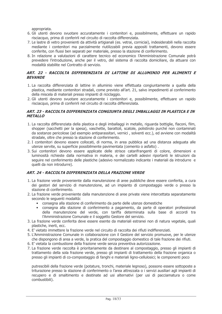appropriata.

- 6. Gli utenti devono svuotare accuratamente i contenitori e, possibilmente, effettuare un rapido risciacquo, prima di conferirli nel circuito di raccolta differenziata.
- 7. Le lastre di vetro provenienti da attività artigianali (es. vetrai, corniciai), indesiderabili nella raccolta mediante i contenitori ma parzialmente riutilizzabili previa appositi trattamenti, devono essere conferite, con flussi ben separati per materiale, presso la stazione di conferimento.
- 8. In relazione a valutazioni di carattere tecnico ed economico l'Amministrazione Comunale potrà prevedere l'introduzione, anche per il vetro, del sistema di raccolta domiciliare, da attuarsi con modalità stabilite nel Contratto di servizio.

# ART. 22 - RACCOLTA DIFFERENZIATA DI LATTINE DI ALLUMINIO PER ALIMENTI E **BEVANDE**

- 1. La raccolta differenziata di lattine in alluminio viene effettuata congiuntamente a quella della plastica, mediante contenitori stradali, come previsto all'art. 21, salvo impedimenti al conferimento della miscela di materiali presso impianti di riciclaggio.
- 2. Gli utenti devono svuotare accuratamente i contenitori e, possibilmente, effettuare un rapido risciacquo, prima di conferirli nel circuito di raccolta differenziata.

#### ART. 23 - RACCOLTA DIFFERENZIATA CONGIUNTA DEGLI IMBALLAGGI IN PLASTICA E IN **METALLO**

- 1. La raccolta differenziata della plastica e degli imballaggi in metallo, riguarda bottiglie, flaconi, film, shopper (sacchetti per la spesa), vaschette, barattoli, scatole, polistirolo purché non contaminati da sostanze pericolose (ad esempio antiparassitari, vernici, solventi ecc.), ed avviene con modalità stradale, oltre che presso la stazione di conferimento.
- 2. I contenitori devono essere collocati, di norma, in area pubblica ad una distanza adequata alle utenze servite, su superficie possibilmente pavimentata (cemento o asfalto).
- 3. Sui contenitori devono essere applicate delle strisce catarifrangenti di colore, dimensioni e luminosità richieste dalla normativa in materia, e dei cartelli adesivi riportanti le istruzioni da sequire nel conferimento delle plastiche (adesivo normalizzato indicante i materiali da introdurre e quelli da non introdurre).

# ART. 24 - RACCOLTA DIFFERENZIATA DELLA FRAZIONE VERDE

- 1. La frazione verde proveniente dalla manutenzione di aree pubbliche deve essere conferita, a cura dei gestori del servizio di manutenzione, ad un impianto di compostaggio verde o presso la stazione di conferimento.
- 2. La frazione verde proveniente dalla manutenzione di aree private viene intercettata separatamente secondo le sequenti modalità:
	- consegna alla stazione di conferimento da parte delle utenze domestiche
	- · consegna alla stazione di conferimento a pagamento, da parte di operatori professionali della manutenzione del verde, con tariffa determinata sulla base di accordi tra l'Amministrazione Comunale e il soggetto Gestore del servizio.
- 3. La frazione verde conferita deve essere esente da materiali estranei non di natura vegetale, quali plastiche, inerti, ecc.
- 4. E' vietato immettere la frazione verde nel circuito di raccolta dei rifiuti indifferenziati.
- 5. L'Amministrazione Comunale in collaborazione con il Gestore del servizio promuove, per le utenze che dispongono di area a verde, la pratica del compostaggio domestico di tale frazione dei rifiuti.
- 6. E' vietata la combustione della frazione verde senza preventiva autorizzazione.
- 7. La frazione verde raccolta è prioritariamente da destinare al compostaggio, presso gli impianti di trattamento della sola frazione verde, presso gli impianti di trattamento della frazione organica o presso gli impianti di co-compostaggio di fanghi e materiali ligno-cellulosici; le componenti poco

putrescibili della frazione verde (potature, tronchi, materiale legnoso), possono essere sottoposte a triturazione presso la stazione di conferimento o l'area attrezzata o i servizi ausiliari agli impianti di recupero e di smaltimento e destinate ad usi alternativi (per usi di pacciamatura o come combustibili).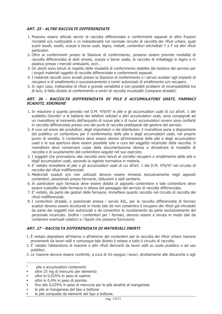# **ART. 25 - ALTRE RACCOLTE DIFFERENZIATE**

- 1. Possono essere attivati servizi di raccolta differenziata e conferimenti separati di altre frazioni riciclabili e/o riutilizzabili e /o indesiderabili nel normale circuito di raccolta dei rifiuti urbani, quali scarti tessili, vestiti, scarpe e borse usati, legno, metalli, contenitori etichettati T o F od altri rifiuti particolari.
- 2. Oltre ai conferimenti presso la Stazione di conferimento, possono essere previste modalità di raccolta differenziata di abiti smessi, scarpe e borse usate, le raccolte di imballaggi in legno e in plastica presso i mercati ambulanti, ecct...
- 3. Gli utenti sono tenuti al rispetto delle modalità di conferimento stabilite dal Gestore del servizio per i singoli materiali oggetto di raccolte differenziate e conferimenti separati.
- 4. I materiali raccolti sono avviati presso la Stazione di conferimento o i servizi ausiliari agli impianti di recupero e di smaltimento e successivamente a centri autorizzati di smaltimento e/o recupero.
- 5. In ogni caso, trattandosi di rifiuti a grande variabilità e con possibili problemi di incompatibilità tra di loro, è fatto divieto di conferimento a centri di raccolta incustoditi (campane stradali).

#### ART. 26 - RACCOLTA DIFFERENZIATA DI PILE E ACCUMULATORI USATI, FARMACI **SCADUTI, SIRINGHE**

- 1. In relazione a quanto previsto nel D.M. 476/97 le pile e gli accumulatori usati di cui all'art. 1 del suddetto Decreto<sup>1</sup> e le batterie dei telefoni cellulari e altri accumulatori usati, sono consegnati ad un rivenditore al momento dell'acquisto di nuove pile o di nuovi accumulatori ovvero sono conferiti in raccolta differenziata presso uno dei punti di raccolta predisposti dal gestore del servizio.
- 2. A cura ed onere dei produttori, degli importatori e dei distributori, il rivenditore pone a disposizione del pubblico un contenitore per il conferimento delle pile e degli accumulatori usati, nel proprio punto di vendita. Il contenitore deve essere idoneo all'immissione delle pile e degli accumulatori usati e la sua apertura deve essere possibile solo a cura del soggetto incaricato della raccolta. Il rivenditore deve conservare copia della documentazione idonea a dimostrare le modalità di raccolta e di svuotamento del contenitore seguite nel suo esercizio.
- 3. I soggetti che provvedono alla raccolta sono tenuti al corretto recupero e smaltimento delle pile e degli accumulatori usati, secondo la vigente normativa in materia.
- 4. E' vietato immettere le pile o gli accumulatori usati di cui all'art. 1 del D.M. 476/97 nel circuito di raccolta dei rifiuti indifferenziati.
- 5. Medicinali scaduti e/o non utilizzati devono essere immessi esclusivamente negli appositi contenitori, posizionati presso farmacie, istituzioni e sedi sanitarie.
- 6. In particolare ogni farmacia deve essere dotata di apposito contenitore e tale contenitore deve essere custodito dalla farmacia in attesa del passaggio del servizio di raccolta differenziata.
- 7. E' vietato, da parte dei gestori delle farmacie, immettere quanto raccolto nel circuito di raccolta dei rifiuti indifferenziati.
- 8. I contenitori stradali, o posizionati presso i servizi ASL, per la raccolta differenziata di farmaci scaduti devono essere strutturati in modo tale da non consentire il recupero dei rifiuti già introdotti da parte dei soggetti non autorizzati e da consentire lo syuotamento da parte esclusivamente del personale incaricato. Inoltre i contenitori per i farmaci, devono essere a tenuta in modo tale da contenere eventuali colaticci e i liquidi che possono fuoriuscire.

# ART. 27 - RACCOLTA DIFFERENZIATA DI MATERIALI INERTI

- 1. È vietato depositare all'interno o all'esterno dei contenitori per la raccolta dei rifiuti urbani macerie provenienti da lavori edili e comunque tale divieto è esteso a tutto il circuito di raccolta.
- 2. E' vietato l'abbandono di macerie e altri rifiuti derivanti da lavori edili su suolo pubblico o ad uso pubblico.
- 3. Le macerie devono essere conferite, a cura di chi esegue i lavori, direttamente alle discariche o agli

le pile al manganese del tipo a bottone  $\mathbf{r}$ 

 $\mathbf 1$ pile e accumulatori contenenti:

oltre 25 mg di mercurio per elemento à.

oltre lo 0,025% in peso di cadmio  $\blacksquare$ 

oltre lo 0.4% in peso di piombo

fino allo 0,025% in peso di mercurio per le pile alcaline al manganese  $\blacksquare$ 

le pile composte da elementi del tipo a bottone.  $\mathbf{r}$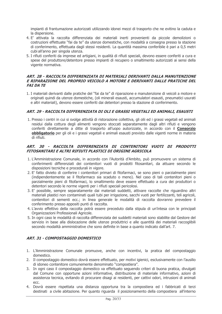impianti di frantumazione autorizzati utilizzando idonei mezzi di trasporto che ne evitino la caduta e la dispersione.

- 4. E' attivata la raccolta differenziata dei materiali inerti provenienti da piccole demolizioni o costruzioni effettuate "fai da te" da utenze domestiche, con modalità a consegna presso la stazione di conferimento, effettuata dagli stessi residenti. La quantità massima conferibile è pari a 0,5 metri cubi all'anno per singola utenza.
- 5. I rifiuti conferiti da imprese ed artigiani, in qualità di rifiuti speciali, devono essere conferiti a cura e spese del produttore/detentore presso impianti di recupero o smaltimento autorizzati ai sensi della vigente normativa.

#### ART. 28 - RACCOLTA DIFFFRENZIATA DI MATERIALI DERIVANTI DALLA MANUITENZIONE F RIPARAZIONE DEI PROPRIO VEICOLO A MOTORE E DERIVANTI DALLE PRATICHE DEL **FAT DA TE**

1. I materiali derivanti dalle pratiche del "fai da te" di riparazione e manutenzione di veicoli a motore e originati guindi da utenze domestiche, (oli minerali esausti, accumulatori esausti, pneumatici usurati e altri materiali), devono essere conferiti dai detentori presso la stazione di conferimento.

# ART. 29 - RACCOLTA DIFFERENZIATA DI OLI E GRASSI VEGETALI ED ANIMALI, ESAUSTI

1. Presso i centri in cui si svolge attività di ristorazione collettiva, gli olii ed i grassi vegetali ed animali residui dalla cottura degli alimenti vengono stoccati separatamente dagli altri rifiuti e vengono conferiti direttamente a ditte di trasporto all'uopo autorizzate, in accordo con il Consorzio obbligatorio per gli oli e i grassi vegetali e animali esausti previsto dalle vigenti norme in materia di rifiuti.

# ART. 30 - RACCOLTA DIFFERENZIATA DI CONTENITORI VUOTI DI PRODOTTI FITOSANITARI E ALTRI RIFIUTI PLASTICI DI ORIGINE AGRICOLA

- 1. L'Amministrazione Comunale, in accordo con l'Autorità d'Ambito, può promuovere un sistema di conferimenti differenziati dei contenitori vuoti di prodotti fitosanitari, da attuare secondo le disposizioni tecniche e procedurali in vigore.
- 2. E' fatto divieto di conferire i contenitori primari di fitofarmaci, se sono pieni o parzialmente pieni (indipendentemente se il fitofarmaco sia scaduto o meno). Nel caso di tali contenitori pieni o parzialmente pieni di fitofarmaci, lo smaltimento deve essere effettuato a cura dei produttori o detentori secondo le norme vigenti per i rifiuti speciali pericolosi.
- 3. E' possibile, sempre separatamente dai materiali suddetti, attivare raccolte che riguardino altri materiali plastici non contaminati quali tubi per irrigazione, sacchi vuoti per fertilizzanti, teli agricoli, contenitori di sementi ecc.; in linea generale le modalità di raccolta dovranno prevedere il conferimento presso appositi punti di raccolta.
- 4. L'avvio effettivo della raccolta potrà essere preceduto dalla stipula di un'intesa con le principali Organizzazioni Professionali Agricole.
- 5. In ogni caso le modalità di raccolta differenziata dei suddetti materiali sono stabilite dal Gestore del servizio in base alla dislocazione delle utenze produttrici e alle quantità dei materiali raccoglibili secondo modalità amministrative che sono definite in base a quanto indicato dall'art. 7.

# **ART. 31 - COMPOSTAGGIO DOMESTICO**

- 1. L'Amministrazione Comunale promuove, anche con incentivi, la pratica del compostaggio domestico.
- 2. Il compostaggio domestico dovrà essere effettuato, per motivi igienici, esclusivamente con l'ausilio di idoneo contenitore comunemente denominato "compostiera".
- 3. In ogni caso il compostaggio domestico va effettuato seguendo criteri di buona pratica, divulgati dal Comune con opportune azioni informative, distribuzione di materiale informativo, azioni di assistenza tecnica, evitando di procurare disagi ai residenti, per cattivi odori, intrusioni di animali ecc.
- 4. Dovrà essere rispettata una distanza opportuna tra la compostiera ed i fabbricati di terzi destinati a civile abitazione. Per quanto riguarda il posizionamento della compostiera all'interno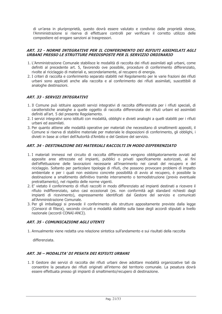di un'area in pluriproprietà, questo dovrà essere valutato e condiviso dalle proprietà stesse, l'Amministrazione si riserva di effettuare controlli per verificare il corretto utilizzo delle compostiere ed erogare sanzioni ai trasgressori.

#### ART. 32 - NORME INTEGRATIVE PER IL CONFERIMENTO DEI RIFIUTI ASSIMILATI AGLI URBANI PRESSO LE STRUTTURE PREDISPOSTE PER IL SERVIZIO ORDINARIO

- 1. L'Amministrazione Comunale stabilisce le modalità di raccolta dei rifiuti assimilati agli urbani, come definiti al precedente art. 5, favorendo ove possibile, procedure di conferimento differenziato, rivolte al riciclaggio di materiali e, secondariamente, al recupero di energia.
- 2. I criteri di raccolta e conferimento separato stabiliti nel Regolamento per le varie frazioni dei rifiuti urbani sono applicati anche alla raccolta e al conferimento dei rifiuti assimilati, suscettibili di analoghe destinazioni.

# **ART. 33 - SERVIZI INTEGRATIVI**

- 1. Il Comune può istituire appositi servizi integrativi di raccolta differenziata per i rifiuti speciali, di caratteristiche analoghe a quelle oggetto di raccolta differenziata dei rifiuti urbani ed assimilati definiti all'art. 5 del presente Regolamento.
- 2. I servizi integrativi sono istituiti con modalità, obblighi e divieti analoghi a quelli stabiliti per i rifiuti urbani ed assimilati.
- 3. Per quanto attiene alle modalità operative per materiali che necessitano di smaltimenti appositi, il Comune si riserva di stabilire materiale per materiale le disposizioni di conferimento, gli obblighi, i divieti in base ai criteri dell'Autorità d'Ambito e del Gestore del servizio.

#### ART. 34 - DESTINAZIONE DEI MATERIALI RACCOLTI IN MODO DIFFERENZIATO

- 1. I materiali immessi nel circuito di raccolta differenziata vengono obbligatoriamente avviati ad apposite aree attrezzate ed impianti, pubblici o privati specificamente autorizzati, ai fini dell'effettuazione delle lavorazioni necessarie all'inserimento nei canali del recupero e del riciclaggio. Soltanto per particolare tipologie di rifiuti, che possono provocare problemi di impatto ambientale e per i quali non esistono concrete possibilità di avvio al recupero, è possibile la destinazione a smaltimento definitivo tramite interramento o termodistruzione (previo eventuale pretrattamento), nel rispetto delle norme vigenti.
- 2. E' vietato il conferimento di rifiuti raccolti in modo differenziato ad impianti destinati a ricevere il rifiuto indifferenziato, salvo casi eccezionali (es. non conformità agli standard richiesti dagli impianti di ricevimento), espressamente identificati dal Gestore del servizio e comunicati all'Amministrazione Comunale.
- 3. Per gli imballaggi si prevede il conferimento alle strutture appositamente previste dalla legge (Consorzi di filiera), secondo circuiti e modalità stabilite sulla base degli accordi stipulati a livello nazionale (accordi CONAI-ANCI).

# **ART. 35 - COMUNICAZIONE AGLI UTENTI**

1. Annualmente viene redatta una relazione sintetica sull'andamento e sui risultati della raccolta

differenziata.

# ART. 36 - MODALITA' DI PESATA DEI RIFIUTI URBANI

1. Il Gestore dei servizi di raccolta dei rifiuti urbani deve adottare modalità organizzative tali da consentire la pesatura dei rifiuti originati all'interno del territorio comunale. La pesatura dovrà essere effettuata presso gli impianti di smaltimento/recupero di destinazione.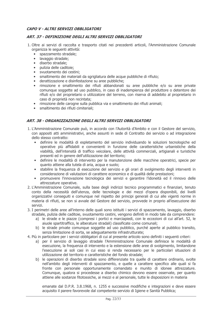# CAPO V - ALTRI SERVIZI OBBLIGATORI

#### ART. 37 - DEFINIZIONE DEGLI ALTRI SERVIZI OBBLIGATORI

- 1. Oltre ai servizi di raccolta e trasporto citati nei precedenti articoli, l'Amministrazione Comunale organizza le seguenti attività:
	- · spazzamento stradale;
	- · lavaggio stradale;
	- · diserbo stradale:
	- · pulizia delle caditoie:
	- · svuotamento dei cestini;
	- · smaltimento dei materiali da sgrigliatura delle acque pubbliche di rifiuto;
	- derattizzazione e disinfestazione su aree pubbliche;
	- · rimozione e smaltimento dei rifiuti abbandonati su aree pubbliche e/o su aree private comunque soggette ad uso pubblico, in caso di inadempienza del produttore o detentore dei rifiuti e/o del proprietario o utilizzatore del terreno, con riserva di addebito al proprietario in caso di proprietà non recintata:
	- rimozione delle carogne sulla pubblica via e smaltimento dei rifiuti animali;
	- · smaltimento dei rifiuti cimiteriali;

# ART. 38 - ORGANIZZAZIONE DEGLI ALTRI SERVIZI OBBLIGATORI

- 1. L'Amministrazione Comunale può, in accordo con l'Autorità d'Ambito e con il Gestore del servizio, con appositi atti amministrativi, anche assunti in sede di Contratto dei servizio o ad integrazione dello stesso contratto:
	- definire le modalità di espletamento del servizio individuando le soluzioni tecnologiche ed operative più affidabili e convenienti in funzione delle caratteristiche urbanistiche della viabilità, dell'intensità di traffico veicolare, delle attività commerciali, artigianali e turistiche presenti ed in genere dell'utilizzazione del territorio;
	- · definire le modalità di intervento per la manutenzione delle macchine operatrici, specie per quanto attiene alla tutela di aria, acqua e suolo;
	- · stabilire la frequenza di esecuzione del servizio e gli orari di svolgimento degli interventi in considerazione di valutazioni di carattere economico e di qualità delle prestazioni:
	- promuovere l'innovazione tecnologica dei servizi e garantire l'idoneità ed il rinnovo delle  $\bullet$ attrezzature operative.
- 2. L'Amministrazione Comunale, sulla base degli indirizzi tecnico programmatici e finanziari, tenuto conto della necessità dell'utenza, delle tecnologie e dei mezzi d'opera disponibili, dei livelli organizzativi conseguiti e comungue nel rispetto dei principi generali di cui alle vigenti norme in materia di rifiuti, se non si avvale del Gestore del servizio, provvede in proprio all'esecuzione dei servizi.
- 3. I perimetri delle aree all'interno delle quali sono istituiti i servizi di spazzamento, lavaggio, diserbo stradale, pulizia delle caditoie, svuotamento cestini, vengono definiti in modo tale da comprendere:
	- a) le strade e le piazze (compresi i portici e marciapiedi, con le eccezioni di cui all'art. 52, le aiuole spartitraffico, le alberature stradali) classificate come comunali;
	- b) le strade private comunque soggette ad uso pubblico, purché aperte al pubblico transito, senza limitazione di sorta, se adequatamente infrastrutturate;
- 4. Più in particolare per i servizi obbligatori di cui al presente articolo sono definiti i sequenti criteri:
	- a) per il servizio di lavaggio stradale l'Amministrazione Comunale definisce le modalità di esecuzione, la frequenza di intervento e la estensione delle aree di svolgimento, limitandone l'esecuzione ai soli casi in cui esso si renda necessario per le particolari situazioni di utilizzazione del territorio e caratteristiche del fondo stradale;
	- b) le operazioni di diserbo stradale sono differenziate tra quelle di carattere ordinario, svolte nell'ambito degli interventi di spazzamento, e quelle a carattere specifico alle quali si fa fronte con personale opportunamente comandato e munito di idonee attrezzature. Comunque, qualora si procedesse a diserbo chimico devono essere osservate, per quanto attiene alle sostanze fitotossiche, ai mezzi e al personale, tutte le disposizioni in materia

emanate dal D.P.R. 3.8.1968, n. 1255 e successive modifiche e integrazioni e deve essere acquisito il parere favorevole dal competente servizio di Igiene e Sanità Pubblica;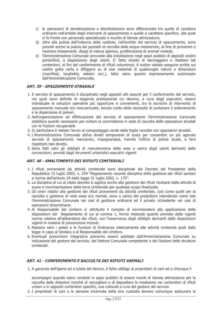- c) le operazioni di derattizzazione e disinfestazione sono differenziate tra quelle di carattere ordinario nell'ambito degli interventi di spazzamento e quelle a carattere specifico, alle quali si fa fronte con personale specializzato e munito di idonee attrezzature;
- d) oltre alla pulizia dell'imbocco delle caditoie, nell'ambito del servizio di spazzamento, sono previsti anche la pulizia dei pozzetti di raccolta delle acque meteoriche, al fine di prevenire e risolvere intasamenti, disagi di natura igienica, proliferazione di animali molesti;
- e) l'Amministrazione Comunale provvede alla installazione negli spazi pubblici di appositi cestini portarifiuti, a disposizione degli utenti. E' fatto divieto di danneggiare o ribaltare tali contenitori, ai fini del conferimento di rifiuti voluminosi; è inoltre vietato esequire scritte sui cestini getta carta e affiggere su di essi materiali di qualsivoglia natura e dimensioni (manifesti, targhette, adesivi ecc.), fatto salvo quanto espressamente autorizzato dall'Amministrazione Comunale;

# **ART. 39 - SPAZZAMENTO STRADALE**

- 1. Il servizio di spazzamento è disciplinato negli appositi atti assunti per il conferimento del servizio, nei quali sono definite le esigenze prestazionali cui devono, a cura degli esecutori, essere individuate le soluzioni operative più opportune e convenienti, tra le tecniche di intervento di spazzamento manuale e/o meccanizzato, tenuto conto della necessità di contenere il sollevamento e la dispersione di polveri.
- 2. Nell'organizzazione ed effettuazione del servizio di spazzamento l'Amministrazione Comunale stabilisce quanto necessario per evitare la commistione in sede di raccolta delle spazzature stradali con le frazioni recuperabili.
- 3. In particolare è vietato l'avvio al compostaggio verde delle foglie raccolte con spazzatrici stradali.
- 4. L'Amministrazione Comunale attiva divieti temporanei di sosta per consentire un più agevole servizio di spazzamento meccanico, impegnandosi, tramite l'ufficio di polizia locale, a fare rispettare tale divieto.
- 5. Sono fatti salvi gli obblighi di manutenzione delle aree a carico degli utenti derivanti dalle convenzioni, previsti dagli strumenti urbanistici esecutivi vigenti

# ART. 40 - SMALTIMENTO DEI RIFIUTI CIMITERIALI

- 1. I rifiuti provenienti da attività cimiteriale sono disciplinati dal Decreto del Presidente della Repubblica 15 luglio 2003, n. 254 "Regolamento recante disciplina della gestione dei rifiuti sanitari a norma dell'articolo 24 della legge 31 luglio 2002, n. 179".
- 2. La disciplina di cui al citato decreto si applica anche alla gestione dei rifiuti risultanti dalle attività di scavo e movimentazione della terra cimiteriale per qualsiasi scopo finalizzate.
- 3. Gli oneri relativi alla gestione dei rifiuti provenienti da attività cimiteriale, così come quelli per la raccolta e gestione di resti ossei e/o mortali, sono a carico del produttore intendendo come tale l'Amministrazione Comunale nei casi di gestione ordinaria ed il privato richiedente nei casi di operazioni straordinarie.
- 4. Al Responsabile del cimitero e' attribuito il compito di sovrintendere alla applicazione delle disposizioni del Regolamento di cui al comma 1, fermo restando quanto previsto dalle vigenti norme relative all'abbandono dei rifiuti, con l'osservanza degli obblighi derivanti dalle disposizioni vigenti in materia di prevenzione incendi.
- 5. Restano salvi i poteri e le funzioni di Ordinanza relativamente alle attività cimiteriali posti dalla legge in capo al Sindaco e al Responsabile del cimitero.
- 6. Eventuali prescrizioni integrative potranno essere adottate dall'Amministrazione Comunale su indicazione del gestore del servizio, del Settore Comunale competente o del Gestore delle strutture cimiteriali.

# ART. 41 - CONFERIMENTO E RACCOLTA DEI RIFIUTI ANIMALI

1. A garanzia dell'igiene ed a tutela del decoro, è fatto obbligo ai proprietari di cani ed a chiungue li

accompagni quando siano condotti in spazi pubblici di essere muniti di idonea attrezzatura per la raccolta delle deiezioni nonché di raccogliere e di depositare le medesime nei contenitori di rifiuti urbani o in appositi contenitori specifici, ove collocati a cura del gestore del servizio

2. I proprietari di cani o le persone incaricate della loro custodia devono comunque assicurare la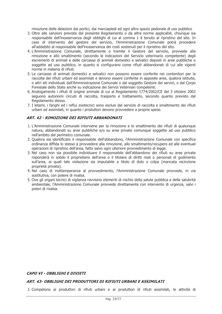rimozione delle deiezioni dai portici, dai marciapiedi ed ogni altro spazio pedonale di uso pubblico

- 3. Oltre alle sanzioni previste dal presente Regolamento o da altre norme applicabili, chiungue sia responsabile dell'inosservanza degli obblighi di cui al comma 1 è tenuto al ripristino del sito. In caso di intervento del gestore del servizio, l'Amministrazione Comunale potrà procedere all'addebito al responsabile dell'inosservanza dei costi sostenuti per il ripristino del sito.
- 4. L'Amministrazione Comunale, direttamente o tramite il Gestore del servizio, provvede alla rimozione e allo smaltimento (secondo le indicazioni del Servizio veterinario competente) degli escrementi di animali e delle carcasse di animali domestici e selvatici deposti in aree pubbliche o soggette ad uso pubblico, in quanto si configurano come rifiuti abbandonati di cui alle vigenti norme in materia di rifiuti.
- 5. Le carcasse di animali domestici e selvatici non possono essere conferite nei contenitori per la raccolta dei rifiuti urbani ed assimilati e devono essere conferite in apposite aree, qualora istituite, o altri siti individuati dall'Amministrazione Comunale o dal soggetto Gestore dei servizi, o dal Corpo Forestale dello Stato anche su indicazione dei Servizi Veterinari competenti.
- 6. Analogamente i rifiuti di origine animale di cui al Regolamento 1774/2002/CE del 3 ottobre 2002 seguono autonomi circuiti di raccolta, trasporto e trattamento, secondo quanto previsto dal Regolamento stesso.
- 7. I letami, i fanghi ed i reflui zootecnici sono esclusi dal servizio di raccolta e smaltimento dei rifiuti urbani ed assimilati, in quanto i produttori devono provvedere a proprie spese.

#### **ART. 42 - RIMOZIONE DEI RIFIUTI ARRANDONATI**

- 1. L'Amministrazione Comunale interviene per la rimozione e lo smaltimento dei rifiuti di qualunque natura, abbandonati su aree pubbliche e/o su aree private comunque soggette ad uso pubblico nell'ambito del perimetro comunale.
- 2. Qualora sia identificato il responsabile dell'abbandono, l'Amministrazione Comunale con specifica ordinanza diffida lo stesso a provvedere alla rimozione, allo smaltimento/recupero ed alle eventuali operazioni di ripristino dell'area, fatto salvo ogni ulteriore provvedimento di legge.
- 3. Nel caso non sia possibile individuare il responsabile dell'abbandono dei rifiuti su aree private risponderà in solido il proprietario dell'area o il titolare di diritti reali o personali di godimento sull'area, ai quali tale violazione sia imputabile a titolo di dolo o colpa (mancata recinzione proprietà privata).
- 4. Nel caso di inottemperanza al provvedimento, l'Amministrazione Comunale provvede, in via sostitutiva, con potere di rivalsa.
- 5. Ove gli organi tecnici di vigilanza ravvisino elementi di rischio della salute pubblica e della salubrità ambientale, l'Amministrazione Comunale provvede direttamente con intervento di urgenza, salvi i poteri di rivalsa.

#### **CAPO VI - OBBLIGHI E DIVIETI**

#### ART. 43- OBBLIGHI DEI PRODUTTORI DI RIFIUTI URBANI E ASSIMILATI

1. Competono ai produttori di rifiuti urbani e ai produttori di rifiuti assimilati, le attività di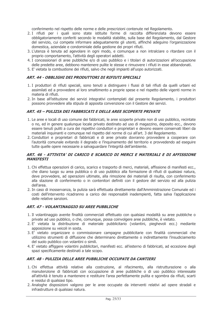conferimento nel rispetto delle norme e delle prescrizioni contenute nel Regolamento.

- 2. I rifiuti per i quali sono state istituite forme di raccolta differenziata devono essere obbligatoriamente conferiti secondo le modalità stabilite, sulla base del Regolamento, dal Gestore del servizio, cui compete informare adeguatamente gli utenti, affinché adeguino l'organizzazione domestica, aziendale e condominiale della gestione dei propri rifiuti.
- 3. L'utenza è tenuta ad agevolare in ogni modo, e comungue a non intralciare o ritardare con il proprio comportamento, l'attività degli operatori addetti.
- 4. I concessionari di aree pubbliche e/o di uso pubblico e i titolari di autorizzazioni all'occupazione delle predette aree, debbono mantenere pulite le stesse e rimuovere i rifiuti in esse abbandonati.
- 5. E' vietata la combustione dei rifiuti, salvo che negli impianti all'uopo autorizzati.

#### ART. 44 - OBBLIGHI DEI PRODUTTORI DI RIFIUTI SPECIALI

- 1. I produttori di rifiuti speciali, sono tenuti a distinguere i flussi di tali rifiuti da quelli urbani ed assimilati ed a provvedere al loro smaltimento a proprie spese e nel rispetto delle vigenti norme in materia di rifiuti.
- 2. In base all'istituzione dei servizi integrativi contemplati dal presente Regolamento, i produttori possono provvedere alla stipula di apposita convenzione con il Gestore dei servizi.

#### ART. 45 - PULIZIA DEI FABBRICATI E DELLE AREE SCOPERTE PRIVATE

- 1. Le aree e locali di uso comune dei fabbricati, le aree scoperte private non di uso pubblico, recintate o no, ed in genere qualunque locale privato destinato ad uso di magazzino, deposito ecc., devono essere tenuti puliti a cura dei rispettivi conduttori e proprietari e devono essere conservati liberi da materiali inquinanti e comunque nel rispetto del norme di cui all'art. 3 del Regolamento.
- 2. Conduttori e proprietari di fabbricati e di aree private dovranno provvedere a cooperare con l'autorità comunale evitando il degrado e l'inguinamento del territorio e provvedendo ad eseguire tutte quelle opere necessarie a salvaguardare l'integrità dell'ambiente.

#### ART. 46 - ATTIVITA' DI CARICO E SCARICO DI MERCI E MATERIALI E DI AFFISSIONE **MANIFESTI**

- 1. Chi effettua operazioni di carico, scarico e trasporto di merci, materiali, affissione di manifesti ecc., che diano luogo su area pubblica o di uso pubblico alla formazione di rifiuti di qualsiasi natura, deve provvedere, ad operazioni ultimate, alla rimozione dei materiali di risulta, con conferimento alla stazione di conferimento o in contenitori definiti con il gestore del servizio ed alla pulizia dell'area.
- 2. In caso di inosservanza, la pulizia sarà effettuata direttamente dall'Amministrazione Comunale ed i costi dell'intervento ricadranno a carico dei responsabili inadempienti, fatta salva l'applicazione delle relative sanzioni.

# **ART. 47 - VOI ANTINAGGIO SU ARFF PUBBI ICHF**

- 1. Il volantinaggio avente finalità commerciali effettuato con qualsiasi modalità su aree pubbliche o private ad uso pubblico, o che, comunque, possa coinvolgere aree pubbliche, è vietato.
- 2. E' vietata la distribuzione di materiale pubblicitario (volantini, pieghevoli ecc.) mediante apposizione su veicoli in sosta.
- 3. E' vietato organizzare o commissionare campagne pubblicitarie con finalità commerciali che utilizzino strumenti di diffusione che determinano direttamente o indirettamente l'insudiciamento del suolo pubblico con volantini o simili.
- 4. E' vietato affiggere volantini pubblicitari, manifesti ecc. all'esterno di fabbricati, ad eccezione degli spazi specificamente destinati a tale scopo.

# ART. 48 - PULIZIA DELLE AREE PUBBLICHE OCCUPATE DA CANTIERI

- 1. Chi effettua attività relative alla costruzione, al rifacimento, alla ristrutturazione o alla manutenzione di fabbricati con occupazione di aree pubbliche o di uso pubblico interessate all'attività è tenuto a mantenere e restituire l'area perfettamente pulita e sgombra da rifiuti, scarti e residui di qualsiasi tipo.
- 2. Analoghe disposizioni valgono per le aree occupate da interventi relativi ad opere stradali e infrastrutture di qualsiasi natura.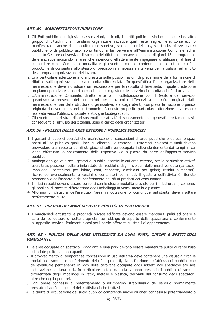# **ART. 49 - MANIFESTAZIONI PUBBLICHE**

- 1. Gli Enti pubblici o religiosi, le associazioni, i circoli, i partiti politici, i sindacati o qualsiasi altro gruppo di cittadini che intendano organizzare iniziative quali feste, sagre, fiere, corse ecc. o manifestazioni anche di tipo culturale o sportivo, scioperi, comizi ecc., su strade, piazze e aree pubbliche o di pubblico uso, sono tenuti a far pervenire all'Amministrazione Comunale ed al soggetto Gestore del servizio di raccolta dei rifiuti, con preavviso minimo di giorni 15, il programma delle iniziative indicando le aree che intendono effettivamente impegnare o utilizzare, al fine di concordare con il Comune le modalità e gli eventuali costi di conferimento e di ritiro dei rifiuti prodotti, e di consentire allo stesso di predisporre i necessari interventi per la pulizia nell'ambito della propria organizzazione del lavoro.
- 2. Una particolare attenzione andrà prestata sulle possibili azioni di prevenzione della formazione di rifiuti e sull'organizzazione della raccolta differenziata. In quest'ottica l'ente organizzatore della manifestazione deve individuare un responsabile per la raccolta differenziata, il quale predispone un piano operativo e si coordina con il soggetto gestore del servizio di raccolta dei rifiuti urbani.
- 3. L'Amministrazione Comunale, direttamente o in collaborazione con il Gestore del servizio, garantisce la presenza dei contenitori per la raccolta differenziata dei rifiuti originati dalla manifestazione, sia dalla struttura organizzativa, sia dagli utenti, compresa la frazione organica originata da eventuali stand gastronomici. A questo proposito particolare attenzione deve essere riservata verso l'utilizzo di posate e stoviglie biodegradabili.
- 4. Gli eventuali oneri straordinari sostenuti per attività di spazzamento, sia generati direttamente, sia conseguenti all'afflusso dei cittadini, sono a carico degli organizzatori.

# ART. 50 - PULIZIA DELLE AREE ESTERNE A PUBBLICI ESERCIZI

- 1. I gestori di pubblici esercizi che usufruiscono di concessioni di aree pubbliche o utilizzano spazi aperti all'uso pubblico quali i bar, gli alberghi, le trattorie, i ristoranti, chioschi e simili devono provvedere alla raccolta dei rifiuti giacenti sull'area occupata indipendentemente dai tempi in cui viene effettuato lo spazzamento della rispettiva via o piazza da parte dell'apposito servizio pubblico.
- 2. Analogo obbligo vale per i gestori di pubblici esercizi le cui aree esterne, per la particolare attività esercitata, possono risultare imbrattate dai residui e dagli involucri delle merci vendute (cartacce; imballaggi; contenitori per bibite, coni, coppette, cucchiaini per gelati; residui alimentari), ricorrendo eventualmente a cestini e contenitori per rifiuti; il gestore dell'attività è ritenuto responsabile dell'asporto e del conferimento dei rifiuti prodotti dai consumatori.
- 3. I rifiuti raccolti devono essere conferiti con le stesse modalità previste per i rifiuti urbani, compresi gli obblighi di raccolta differenziata degli imballaggi in vetro, metallo e plastica.
- 4. All'orario di chiusura dell'esercizio l'area in dotazione o comunque antistante deve risultare perfettamente pulita.

# ART. 51 - PULIZIA DEI MARCIAPIEDI E PORTICI DI PERTINENZA

1. I marciapiedi antistanti le proprietà private edificate devono essere mantenuti puliti ad onere e cura del conduttore di dette proprietà, con obbligo di asporto della spazzatura e conferimento all'apposito servizio. Parimenti dicasi per i portici afferenti gli stabili di appartenenza.

#### ART. 52 - PULIZIA DELLE AREE UTILIZZATE DA LUNA PARK. CIRCHI E SPETTACOLI **VIAGGIANTI.**

- 1. Le aree occupate da spettacoli viaggianti e luna park devono essere mantenute pulite durante l'uso e lasciate pulite dagli occupanti.
- 2. Il provvedimento di temporanea concessione in uso dell'area deve contenere una clausola circa le modalità di raccolta e conferimento dei rifiuti prodotti, sia in funzione dell'afflusso di pubblico che dell'eventuale permanenza in loco delle carovane occupate dagli addetti agli spettacoli e/o alla installazione del luna park. In particolare in tale clausola saranno presenti gli obblighi di raccolta differenziata degli imballaggi in vetro, metallo e plastica, derivanti dal consumo degli spettatori, oltre che degli operatori.
- 3. Ogni onere connesso al potenziamento o all'impegno straordinario del servizio normalmente prestato ricadrà sui gestori delle attività di che trattasi
- 4. La tariffa di occupazione del suolo pubblico comprende anche gli oneri connessi al potenziamento o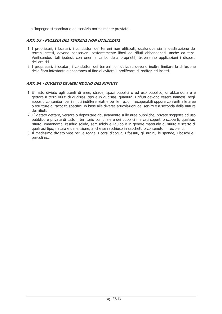all'impegno straordinario del servizio normalmente prestato.

# ART. 53 - PULIZIA DEI TERRENI NON UTILIZZATI

- 1. I proprietari, i locatari, i conduttori dei terreni non utilizzati, qualunque sia la destinazione dei terreni stessi, devono conservarli costantemente liberi da rifiuti abbandonati, anche da terzi. Verificandosi tali ipotesi, con oneri a carico della proprietà, troveranno applicazioni i disposti dell'art. 44.
- 2. I proprietari, i locatari, i conduttori dei terreni non utilizzati devono inoltre limitare la diffusione della flora infestante e spontanea al fine di evitare il proliferare di roditori ed insetti.

# ART. 54 - DIVIETO DI ABBANDONO DEI RIFIUTI

- 1. E' fatto divieto agli utenti di aree, strade, spazi pubblici o ad uso pubblico, di abbandonare e gettare a terra rifiuti di qualsiasi tipo e in qualsiasi quantità; i rifiuti devono essere immessi negli appositi contenitori per i rifiuti indifferenziati e per le frazioni recuperabili oppure conferiti alle aree o strutture di raccolta specifici, in base alle diverse articolazioni dei servizi e a seconda della natura dei rifiuti
- 2. E' vietato gettare, versare o depositare abusivamente sulle aree pubbliche, private soggette ad uso pubblico e private di tutto il territorio comunale e dei pubblici mercati coperti o scoperti, qualsiasi rifiuto, immondizia, residuo solido, semisolido e liquido e in genere materiale di rifiuto e scarto di qualsiasi tipo, natura e dimensione, anche se racchiuso in sacchetti o contenuto in recipienti.
- 3. Il medesimo divieto vige per le rogge, i corsi d'acqua, i fossati, gli argini, le sponde, i boschi e i pascoli ecc.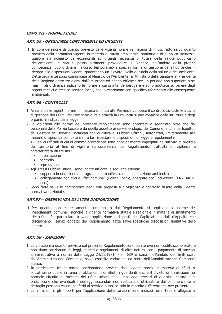# **CAPO VII - NORME FINALI**

#### **ART. 55 - ORDINANZE CONTINGIBILI ED URGENTI**

1. In considerazione di quanto previsto dalle vigenti norme in materia di rifiuti, fatto salvo quanto previsto dalla normativa vigente in materia di tutela ambientale, sanitaria e di pubblica sicurezza, qualora sia richiesto da eccezionali ed urgenti necessità di tutela della salute pubblica o dell'ambiente, e non si possa altrimenti provvedere, il Sindaco, nell'ambito della propria competenza, può ordinare il ricorso temporaneo a speciali forme di gestione dei rifiuti anche in deroga alle disposizioni vigenti, garantendo un elevato livello di tutela della salute e dell'ambiente. Dette ordinanze sono comunicate al Ministro dell'Ambiente, al Ministero della Sanità e al Presidente della Regione entro tre giorni dall'emissione ed hanno efficacia per un periodo non superiore a sei mesi. Tali ordinanze indicano le norme a cui si intende derogare e sono adottate su parere degli organi tecnici o tecnico-sanitari locali, che lo esprimono con specifico riferimento alle consequenze ambientali.

# **ART. 56 - CONTROLLI**

- 1. Ai sensi delle vigenti norme in materia di rifiuti alla Provincia compete il controllo su tutte le attività di gestione dei rifiuti. Per l'esercizio di tale attività la Provincia si può avvalere delle strutture e degli organismi indicati dalla legge.
- 2. Le violazioni alle norme del presente regolamento sono accertate o segnalate oltre che dal personale della Polizia Locale e da quello addetto ai servizi ecologici del Comune, anche da Ispettori del Gestore del servizio, incaricati con qualifica di Pubblici Ufficiali, autorizzati, limitatamente alle materie di specifica competenza, a far rispettare le disposizioni di legge e regolamentari.
- 3. I Pubblici ufficiali di cui al comma precedente sono principalmente impegnati nell'attività di presidio del territorio al fine di vigilare sull'osservanza del Regolamento. L'attività di vigilanza è caratterizzata da tre fasi:
	- informazione
	- controllo
	- repressione.
- 4. Agli stessi Pubblici ufficiali sono inoltre affidate le sequenti attività:
	- supporto in occasione di programmi e manifestazioni di educazione ambientale  $\bullet$
	- · collegamento con enti e uffici comunali (Polizia Locale, anagrafe ecc.) ed esterni (PRA, MCTC  $ecc.$ ).
- 5. Sono fatte salve le competenze degli enti preposti alla vigilanza e controllo fissate dalla vigente normativa nazionale.

# ART.57 - OSSERVANZA DI ALTRE DISPOSIZIONI

1. Per quanto non espressamente contemplato dal Regolamento si applicano le norme dei Regolamenti comunali, nonché la vigente normativa statale e regionale in materia di smaltimento dei rifiuti. In particolare trovano applicazione i disposti dei Capitolati speciali d'Appalto che disciplinano i servizi oggetto del Regolamento, fatte salve specifiche disposizioni limitative dello stesso.

# **ART. 58 - SANZIONI**

- 1. Le violazioni a quanto previsto dal presente Regolamento sono punite ove non costituiscano reato e non siano sanzionate da leggi, decreti o regolamenti di altra natura, con il pagamento di sanzioni amministrative a norma della Legge 24.11.1981, - n. 689 e s.m.i, nell'ambito dei limiti scelti dall'Amministrazione Comunale, salvo esplicita variazione da parte dell'Amministrazione Comunale stessa.
- 2. In particolare, tra le norme sanzionatorie previste dalle vigenti norme in materia di rifiuti, si sottolineano quelle in tema di abbandono di rifiuti, riguardanti anche il divieto di immissione nel normale circuito di raccolta dei rifiuti urbani degli imballaggi terziari di qualsiasi natura e la prescrizione che eventuali imballaggi secondari non restituiti all'utilizzatore dal commerciante al dettaglio possono essere conferiti al servizio pubblico solo in raccolta differenziata, ove presente.
- 3. Le infrazioni e gli importi per l'applicazione delle sanzioni sono indicati nelle Tabelle allegate al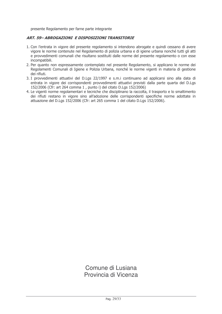presente Regolamento per farne parte integrante

# ART. 59- ABROGAZIONI E DISPOSIZIONI TRANSITORIE

- 1. Con l'entrata in vigore del presente regolamento si intendono abrogate e quindi cessano di avere vigore le norme contenute nel Regolamento di polizia urbana e di jgiene urbana nonché tutti gli atti e provvedimenti comunali che risultano sostituiti dalle norme del presente regolamento o con esse incompatibili.
- 2. Per quanto non espressamente contemplato nel presente Regolamento, si applicano le norme dei Regolamenti Comunali di Igiene e Polizia Urbana, nonché le norme vigenti in materia di gestione dei rifiuti.
- 3. I provvedimenti attuativi del D.Lqs 22/1997 e s.m.i continuano ad applicarsi sino alla data di entrata in vigore dei corrispondenti provvedimenti attuativi previsti dalla parte quarta del D.Lgs 152/2006 (Cfr: art 264 comma 1, punto i) del citato D.Lgs 152/2006)
- 4. Le vigenti norme regolamentari e tecniche che disciplinano la raccolta, il trasporto e lo smaltimento dei rifiuti restano in vigore sino all'adozione delle corrispondenti specifiche norme adottate in attuazione del D.Lgs 152/2006 (Cfr: art 265 comma 1 del citato D.Lgs 152/2006).

Comune di Lusiana Provincia di Vicenza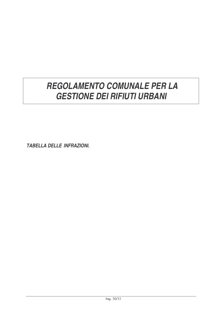# *REGOLAMENTO COMUNALE PER LA GESTIONE DEI RIFIUTI URBANI*

*TABELLA DELLE INFRAZIONI.*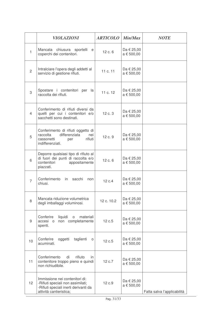|                | <b>VIOLAZIONI</b>                                                                                                                       | <b>ARTICOLO</b> Min/Max |                              | <b>NOTE</b>                 |
|----------------|-----------------------------------------------------------------------------------------------------------------------------------------|-------------------------|------------------------------|-----------------------------|
| $\mathbf{1}$   | chiusura sportelli e<br>Mancata<br>coperchi dei contenitori.                                                                            | 12 c. 6                 | Da € 25,00<br>a € 500,00     |                             |
| $\overline{2}$ | Intralciare l'opera degli addetti al<br>servizio di gestione rifiuti.                                                                   | 11 c. 11                | Da € 25,00<br>a € 500,00     |                             |
| 3              | Spostare i contenitori per la<br>raccolta dei rifiuti.                                                                                  | 11 c. 12                | Da € 25,00<br>a € 500,00     |                             |
| 4              | Conferimento di rifiuti diversi da<br>quelli per cui i contenitori e/o<br>sacchetti sono destinati.                                     | 12 c. 3                 | Da € 25,00<br>a € 500,00     |                             |
| 5              | Conferimento di rifiuti oggetto di<br>raccolta<br>differenziata<br>nei<br>cassonetti<br>rifiuti<br>per<br>indifferenziati.              | 12 c. 9                 | Da € 25,00<br>a € 500,00     |                             |
| 6              | Deporre qualsiasi tipo di rifiuto al<br>di fuori dei punti di raccolta e/o<br>contenitori<br>appositamente<br>piazzati.                 | 12 c. 6                 | Da € 25,00<br>a € 500,00     |                             |
| $\overline{7}$ | Conferimento<br>in<br>sacchi<br>non<br>chiusi.                                                                                          | 12 c.4                  | Da € 25,00<br>a € 500,00     |                             |
| 8              | Mancata riduzione volumetrica<br>degli imballaggi voluminosi.                                                                           | 12 c. 10.2              | Da € 25,00<br>a € 500,00     |                             |
| 9              | Conferire<br>liquidi<br>materiali<br>$\circ$<br>accesi o<br>non completamente<br>spenti.                                                | 12 c.5                  | Da € 25,00<br>$a \in 500,00$ |                             |
| 10             | Conferire<br>oggetti<br>taglienti<br>O<br>acuminati.                                                                                    | 12 c.5                  | Da € 25,00<br>a € 500,00     |                             |
| 11             | Conferimento<br>di<br>rifiuto<br>in.<br>contenitore troppo pieno e quindi<br>non richiudibile.                                          | 12 c.7                  | Da € 25,00<br>a € 500,00     |                             |
| 12             | Immissione nei contenitori di:<br>-Rifiuti speciali non assimilati;<br>-Rifiuti speciali inerti derivanti da<br>attività cantieristica; | 12 c.9                  | Da € 25,00<br>a € 500,00     | Fatta salva l'applicabilità |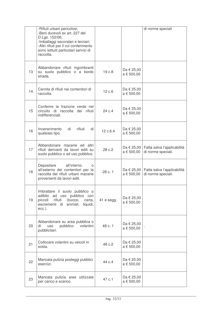|    | -Rifiuti urbani pericolosi;<br>-Beni durevoli ex art. 227 del<br>D.Lgs. 152/06;<br>-Imballaggi secondari e terziari;<br>-Altri rifiuti per il cui conferimento<br>sono istituiti particolari servizi di<br>raccolta. |            |                          | di norme speciali                                 |
|----|----------------------------------------------------------------------------------------------------------------------------------------------------------------------------------------------------------------------|------------|--------------------------|---------------------------------------------------|
| 13 | Abbandonare rifiuti ingombranti<br>su suolo pubblico o a bordo<br>strada.                                                                                                                                            | 19 c.8     | Da € 25,00<br>a € 500,00 |                                                   |
| 14 | Cernita di rifiuti nei contenitori di<br>raccolta.                                                                                                                                                                   | 12 c.6     | Da € 25,00<br>a € 500,00 |                                                   |
| 15 | Conferire la frazione verde nel<br>circuito di raccolta dei rifiuti<br>indifferenziati.                                                                                                                              | 24 c.4     | Da € 25,00<br>a € 500,00 |                                                   |
| 16 | rifiuti<br>Incenerimento<br>di<br>di<br>qualsiasi tipo.                                                                                                                                                              | 12 c.6.4   | Da € 25,00<br>a € 500,00 |                                                   |
| 17 | Abbandonare macerie ed altri<br>rifiuti derivanti da lavori edili su<br>suolo pubblico o ad uso pubblico.                                                                                                            | 28 c.2     | Da € 25,00<br>a € 500,00 | Fatta salva l'applicabilità<br>di norme speciali. |
| 18 | all'interno<br>Depositare<br>$\Omega$<br>all'esterno dei contenitori per la<br>raccolta dei rifiuti urbani macerie<br>provenienti da lavori edili.                                                                   | 28 c. 1    | Da € 25,00<br>a € 500,00 | Fatta salva l'applicabilità<br>di norme speciali. |
| 19 | Imbrattare il suolo pubblico o<br>adibito<br>ad uso pubblico con<br>rifiuti<br>(bucce,<br>carta,<br>piccoli<br>animali,<br>escrementi di<br>liquidi,<br>$ecc.)$ .                                                    | 41 e segg. | Da € 25,00<br>a € 500,00 |                                                   |
| 20 | Abbandonare su area pubblica o<br>volantini<br>pubblico<br>di<br><b>USO</b><br>pubblicitari.                                                                                                                         | 48 c. 1    | Da € 25,00<br>a € 500,00 |                                                   |
| 21 | Collocare volantini su veicoli in<br>sosta.                                                                                                                                                                          | 48 c.2     | Da € 25,00<br>a € 500,00 |                                                   |
| 22 | Mancata pulizia posteggi pubblici<br>esercizi.                                                                                                                                                                       | 44 c.4     | Da € 25,00<br>a € 500,00 |                                                   |
| 23 | Mancata pulizia aree utilizzate<br>per carico e scarico.                                                                                                                                                             | 47 c.1     | Da € 25,00<br>a € 500,00 |                                                   |